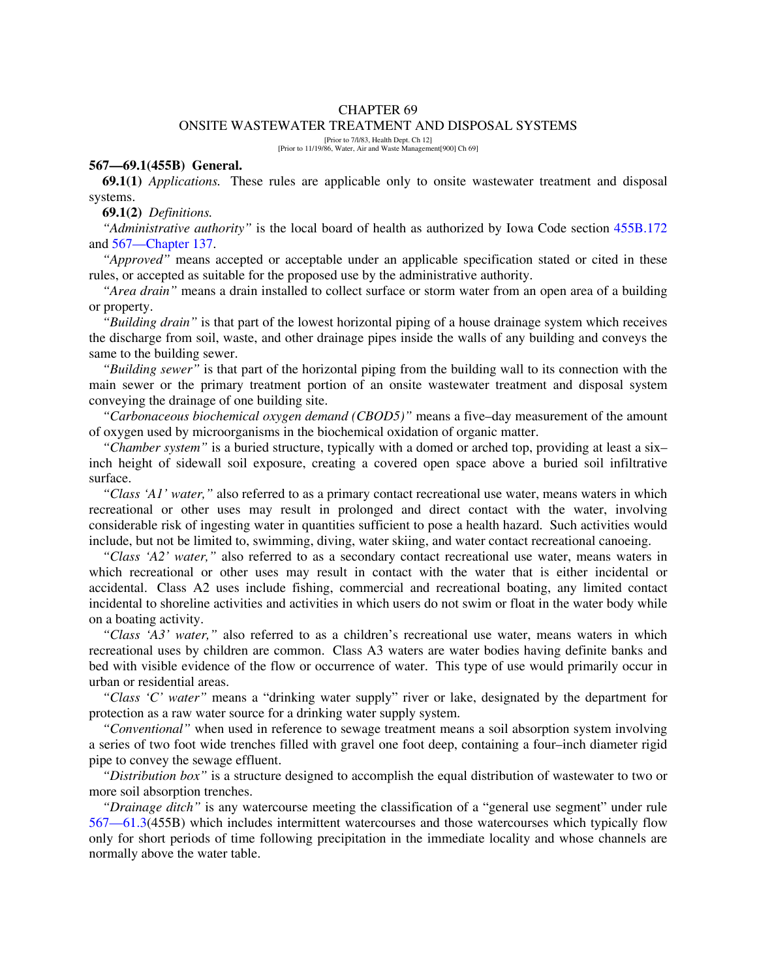#### CHAPTER 69

#### ONSITE WASTEWATER TREATMENT AND DISPOSAL SYSTEMS

[Prior to 7/l/83, Health Dept. Ch 12] [Prior to 11/19/86, Water, Air and Waste Management[900] Ch 69]

### **567—69.1(455B) General.**

**69.1(1)** *Applications.* These rules are applicable only to onsite wastewater treatment and disposal systems.

### **69.1(2)** *Definitions.*

*"Administrative authority"* is the local board of health as authorized by Iowa Code section 455B.172 and 567—Chapter 137.

*"Approved"* means accepted or acceptable under an applicable specification stated or cited in these rules, or accepted as suitable for the proposed use by the administrative authority.

*"Area drain"* means a drain installed to collect surface or storm water from an open area of a building or property.

*"Building drain"* is that part of the lowest horizontal piping of a house drainage system which receives the discharge from soil, waste, and other drainage pipes inside the walls of any building and conveys the same to the building sewer.

*"Building sewer"* is that part of the horizontal piping from the building wall to its connection with the main sewer or the primary treatment portion of an onsite wastewater treatment and disposal system conveying the drainage of one building site.

*"Carbonaceous biochemical oxygen demand (CBOD5)"* means a five–day measurement of the amount of oxygen used by microorganisms in the biochemical oxidation of organic matter.

*"Chamber system"* is a buried structure, typically with a domed or arched top, providing at least a six– inch height of sidewall soil exposure, creating a covered open space above a buried soil infiltrative surface.

*"Class 'A1' water,"* also referred to as a primary contact recreational use water, means waters in which recreational or other uses may result in prolonged and direct contact with the water, involving considerable risk of ingesting water in quantities sufficient to pose a health hazard. Such activities would include, but not be limited to, swimming, diving, water skiing, and water contact recreational canoeing.

*"Class 'A2' water,"* also referred to as a secondary contact recreational use water, means waters in which recreational or other uses may result in contact with the water that is either incidental or accidental. Class A2 uses include fishing, commercial and recreational boating, any limited contact incidental to shoreline activities and activities in which users do not swim or float in the water body while on a boating activity.

*"Class 'A3' water,"* also referred to as a children's recreational use water, means waters in which recreational uses by children are common. Class A3 waters are water bodies having definite banks and bed with visible evidence of the flow or occurrence of water. This type of use would primarily occur in urban or residential areas.

*"Class 'C' water"* means a "drinking water supply" river or lake, designated by the department for protection as a raw water source for a drinking water supply system.

*"Conventional"* when used in reference to sewage treatment means a soil absorption system involving a series of two foot wide trenches filled with gravel one foot deep, containing a four–inch diameter rigid pipe to convey the sewage effluent.

*"Distribution box"* is a structure designed to accomplish the equal distribution of wastewater to two or more soil absorption trenches.

*"Drainage ditch"* is any watercourse meeting the classification of a "general use segment" under rule 567—61.3(455B) which includes intermittent watercourses and those watercourses which typically flow only for short periods of time following precipitation in the immediate locality and whose channels are normally above the water table.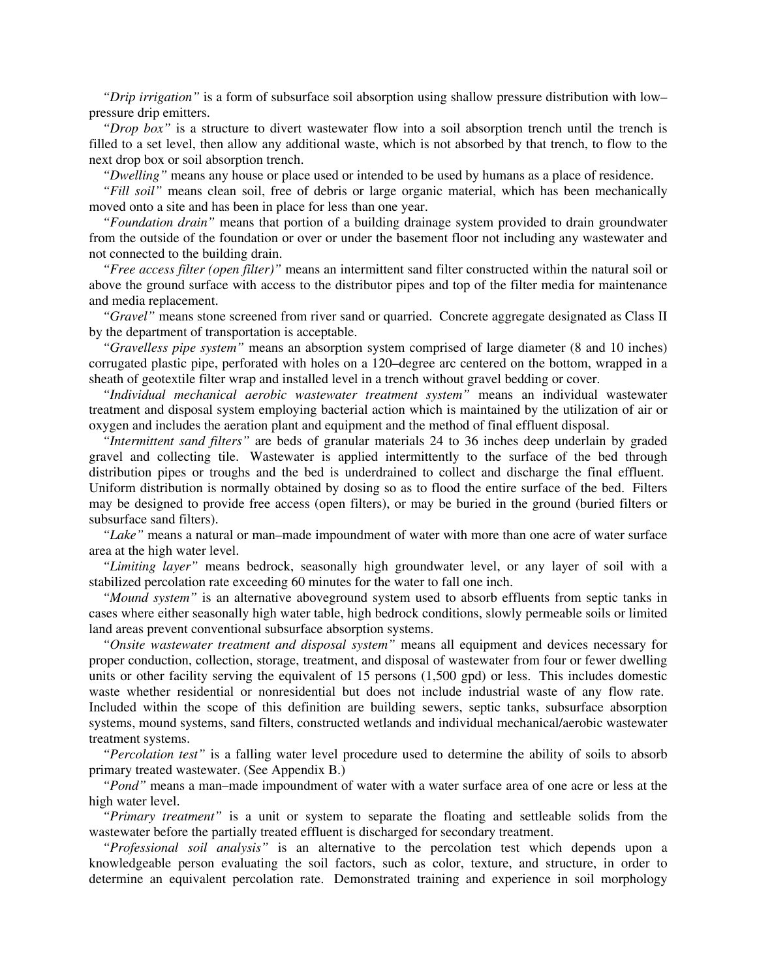*"Drip irrigation"* is a form of subsurface soil absorption using shallow pressure distribution with low– pressure drip emitters.

*"Drop box"* is a structure to divert wastewater flow into a soil absorption trench until the trench is filled to a set level, then allow any additional waste, which is not absorbed by that trench, to flow to the next drop box or soil absorption trench.

*"Dwelling"* means any house or place used or intended to be used by humans as a place of residence.

*"Fill soil"* means clean soil, free of debris or large organic material, which has been mechanically moved onto a site and has been in place for less than one year.

*"Foundation drain"* means that portion of a building drainage system provided to drain groundwater from the outside of the foundation or over or under the basement floor not including any wastewater and not connected to the building drain.

*"Free access filter (open filter)"* means an intermittent sand filter constructed within the natural soil or above the ground surface with access to the distributor pipes and top of the filter media for maintenance and media replacement.

*"Gravel"* means stone screened from river sand or quarried. Concrete aggregate designated as Class II by the department of transportation is acceptable.

*"Gravelless pipe system"* means an absorption system comprised of large diameter (8 and 10 inches) corrugated plastic pipe, perforated with holes on a 120–degree arc centered on the bottom, wrapped in a sheath of geotextile filter wrap and installed level in a trench without gravel bedding or cover.

*"Individual mechanical aerobic wastewater treatment system"* means an individual wastewater treatment and disposal system employing bacterial action which is maintained by the utilization of air or oxygen and includes the aeration plant and equipment and the method of final effluent disposal.

*"Intermittent sand filters"* are beds of granular materials 24 to 36 inches deep underlain by graded gravel and collecting tile. Wastewater is applied intermittently to the surface of the bed through distribution pipes or troughs and the bed is underdrained to collect and discharge the final effluent. Uniform distribution is normally obtained by dosing so as to flood the entire surface of the bed. Filters may be designed to provide free access (open filters), or may be buried in the ground (buried filters or subsurface sand filters).

*"Lake"* means a natural or man–made impoundment of water with more than one acre of water surface area at the high water level.

*"Limiting layer"* means bedrock, seasonally high groundwater level, or any layer of soil with a stabilized percolation rate exceeding 60 minutes for the water to fall one inch.

*"Mound system"* is an alternative aboveground system used to absorb effluents from septic tanks in cases where either seasonally high water table, high bedrock conditions, slowly permeable soils or limited land areas prevent conventional subsurface absorption systems.

*"Onsite wastewater treatment and disposal system"* means all equipment and devices necessary for proper conduction, collection, storage, treatment, and disposal of wastewater from four or fewer dwelling units or other facility serving the equivalent of 15 persons (1,500 gpd) or less. This includes domestic waste whether residential or nonresidential but does not include industrial waste of any flow rate. Included within the scope of this definition are building sewers, septic tanks, subsurface absorption systems, mound systems, sand filters, constructed wetlands and individual mechanical/aerobic wastewater treatment systems.

*"Percolation test"* is a falling water level procedure used to determine the ability of soils to absorb primary treated wastewater. (See Appendix B.)

*"Pond"* means a man–made impoundment of water with a water surface area of one acre or less at the high water level.

*"Primary treatment"* is a unit or system to separate the floating and settleable solids from the wastewater before the partially treated effluent is discharged for secondary treatment.

*"Professional soil analysis"* is an alternative to the percolation test which depends upon a knowledgeable person evaluating the soil factors, such as color, texture, and structure, in order to determine an equivalent percolation rate. Demonstrated training and experience in soil morphology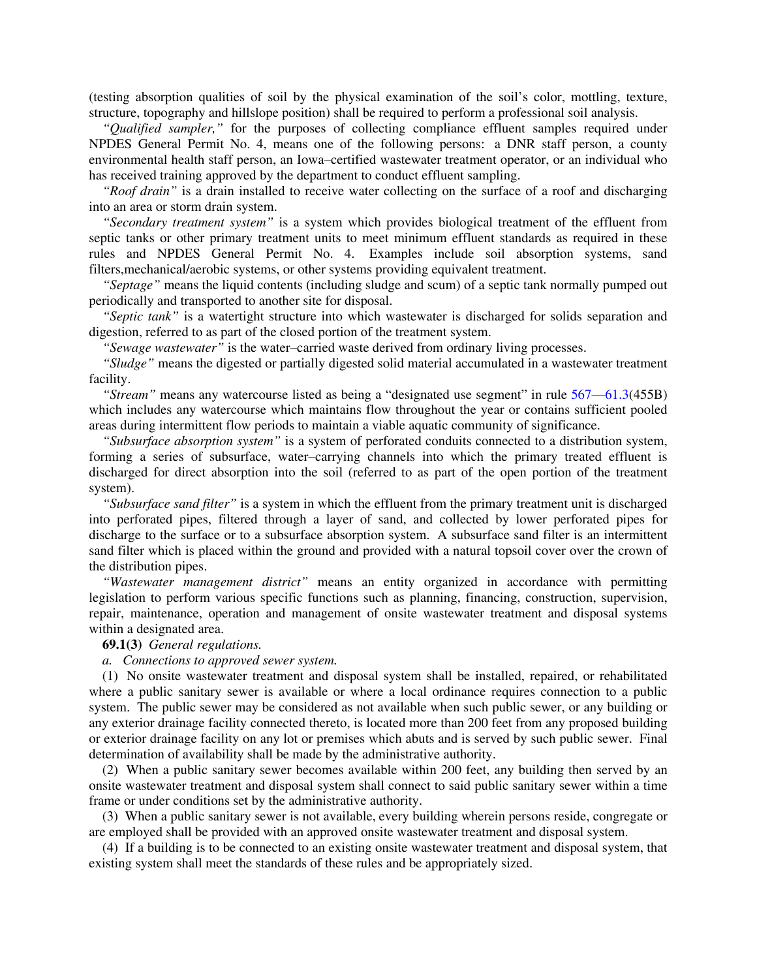(testing absorption qualities of soil by the physical examination of the soil's color, mottling, texture, structure, topography and hillslope position) shall be required to perform a professional soil analysis.

*"Qualified sampler,"* for the purposes of collecting compliance effluent samples required under NPDES General Permit No. 4, means one of the following persons: a DNR staff person, a county environmental health staff person, an Iowa–certified wastewater treatment operator, or an individual who has received training approved by the department to conduct effluent sampling.

*"Roof drain"* is a drain installed to receive water collecting on the surface of a roof and discharging into an area or storm drain system.

*"Secondary treatment system"* is a system which provides biological treatment of the effluent from septic tanks or other primary treatment units to meet minimum effluent standards as required in these rules and NPDES General Permit No. 4. Examples include soil absorption systems, sand filters,mechanical/aerobic systems, or other systems providing equivalent treatment.

*"Septage"* means the liquid contents (including sludge and scum) of a septic tank normally pumped out periodically and transported to another site for disposal.

*"Septic tank"* is a watertight structure into which wastewater is discharged for solids separation and digestion, referred to as part of the closed portion of the treatment system.

*"Sewage wastewater"* is the water–carried waste derived from ordinary living processes.

*"Sludge"* means the digested or partially digested solid material accumulated in a wastewater treatment facility.

*"Stream"* means any watercourse listed as being a "designated use segment" in rule 567—61.3(455B) which includes any watercourse which maintains flow throughout the year or contains sufficient pooled areas during intermittent flow periods to maintain a viable aquatic community of significance.

*"Subsurface absorption system"* is a system of perforated conduits connected to a distribution system, forming a series of subsurface, water–carrying channels into which the primary treated effluent is discharged for direct absorption into the soil (referred to as part of the open portion of the treatment system).

*"Subsurface sand filter"* is a system in which the effluent from the primary treatment unit is discharged into perforated pipes, filtered through a layer of sand, and collected by lower perforated pipes for discharge to the surface or to a subsurface absorption system. A subsurface sand filter is an intermittent sand filter which is placed within the ground and provided with a natural topsoil cover over the crown of the distribution pipes.

*"Wastewater management district"* means an entity organized in accordance with permitting legislation to perform various specific functions such as planning, financing, construction, supervision, repair, maintenance, operation and management of onsite wastewater treatment and disposal systems within a designated area.

**69.1(3)** *General regulations.*

*a. Connections to approved sewer system.*

(1) No onsite wastewater treatment and disposal system shall be installed, repaired, or rehabilitated where a public sanitary sewer is available or where a local ordinance requires connection to a public system. The public sewer may be considered as not available when such public sewer, or any building or any exterior drainage facility connected thereto, is located more than 200 feet from any proposed building or exterior drainage facility on any lot or premises which abuts and is served by such public sewer. Final determination of availability shall be made by the administrative authority.

(2) When a public sanitary sewer becomes available within 200 feet, any building then served by an onsite wastewater treatment and disposal system shall connect to said public sanitary sewer within a time frame or under conditions set by the administrative authority.

(3) When a public sanitary sewer is not available, every building wherein persons reside, congregate or are employed shall be provided with an approved onsite wastewater treatment and disposal system.

(4) If a building is to be connected to an existing onsite wastewater treatment and disposal system, that existing system shall meet the standards of these rules and be appropriately sized.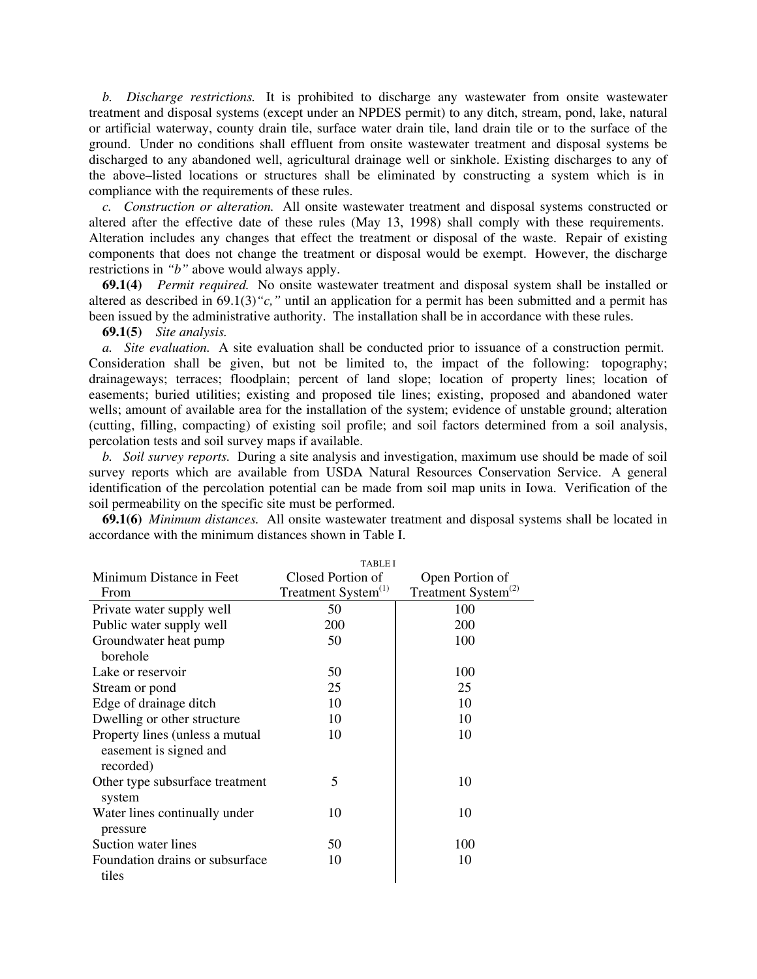*b. Discharge restrictions.* It is prohibited to discharge any wastewater from onsite wastewater treatment and disposal systems (except under an NPDES permit) to any ditch, stream, pond, lake, natural or artificial waterway, county drain tile, surface water drain tile, land drain tile or to the surface of the ground. Under no conditions shall effluent from onsite wastewater treatment and disposal systems be discharged to any abandoned well, agricultural drainage well or sinkhole. Existing discharges to any of the above–listed locations or structures shall be eliminated by constructing a system which is in compliance with the requirements of these rules.

*c. Construction or alteration.* All onsite wastewater treatment and disposal systems constructed or altered after the effective date of these rules (May 13, 1998) shall comply with these requirements. Alteration includes any changes that effect the treatment or disposal of the waste. Repair of existing components that does not change the treatment or disposal would be exempt. However, the discharge restrictions in *"b"* above would always apply.

**69.1(4)** *Permit required.* No onsite wastewater treatment and disposal system shall be installed or altered as described in 69.1(3)*"c,"* until an application for a permit has been submitted and a permit has been issued by the administrative authority. The installation shall be in accordance with these rules.

**69.1(5)** *Site analysis.*

*a. Site evaluation.* A site evaluation shall be conducted prior to issuance of a construction permit. Consideration shall be given, but not be limited to, the impact of the following: topography; drainageways; terraces; floodplain; percent of land slope; location of property lines; location of easements; buried utilities; existing and proposed tile lines; existing, proposed and abandoned water wells; amount of available area for the installation of the system; evidence of unstable ground; alteration (cutting, filling, compacting) of existing soil profile; and soil factors determined from a soil analysis, percolation tests and soil survey maps if available.

*b. Soil survey reports.* During a site analysis and investigation, maximum use should be made of soil survey reports which are available from USDA Natural Resources Conservation Service. A general identification of the percolation potential can be made from soil map units in Iowa. Verification of the soil permeability on the specific site must be performed.

**69.1(6)** *Minimum distances.* All onsite wastewater treatment and disposal systems shall be located in accordance with the minimum distances shown in Table I.

|                                 | <b>TABLE I</b>                  |                                 |  |
|---------------------------------|---------------------------------|---------------------------------|--|
| Minimum Distance in Feet        | Closed Portion of               | Open Portion of                 |  |
| From                            | Treatment System <sup>(1)</sup> | Treatment System <sup>(2)</sup> |  |
| Private water supply well       | 50                              | 100                             |  |
| Public water supply well        | 200                             | 200                             |  |
| Groundwater heat pump           | 50                              | 100                             |  |
| borehole                        |                                 |                                 |  |
| Lake or reservoir               | 50                              | 100                             |  |
| Stream or pond                  | 25                              | 25                              |  |
| Edge of drainage ditch          | 10                              | 10                              |  |
| Dwelling or other structure     | 10                              | 10                              |  |
| Property lines (unless a mutual | 10                              | 10                              |  |
| easement is signed and          |                                 |                                 |  |
| recorded)                       |                                 |                                 |  |
| Other type subsurface treatment | 5                               | 10                              |  |
| system                          |                                 |                                 |  |
| Water lines continually under   | 10                              | 10                              |  |
| pressure                        |                                 |                                 |  |
| Suction water lines             | 50                              | 100                             |  |
| Foundation drains or subsurface | 10                              | 10                              |  |
| tiles                           |                                 |                                 |  |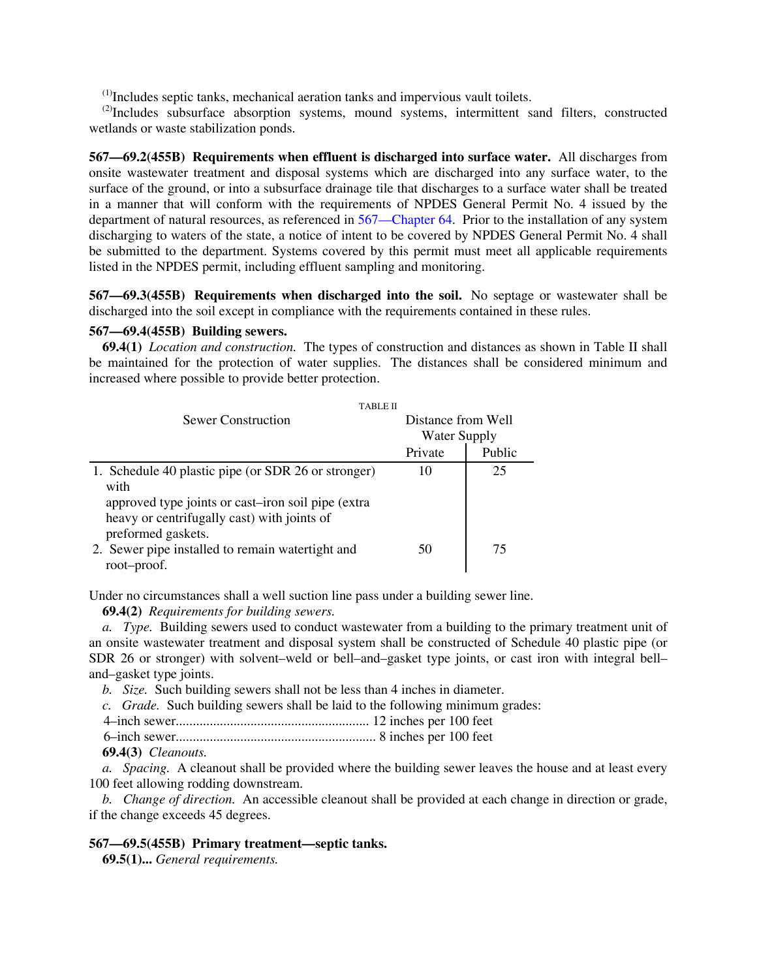$<sup>(1)</sup>$ Includes septic tanks, mechanical aeration tanks and impervious vault toilets.</sup>

 $^{(2)}$ Includes subsurface absorption systems, mound systems, intermittent sand filters, constructed wetlands or waste stabilization ponds.

**567—69.2(455B) Requirements when effluent is discharged into surface water.** All discharges from onsite wastewater treatment and disposal systems which are discharged into any surface water, to the surface of the ground, or into a subsurface drainage tile that discharges to a surface water shall be treated in a manner that will conform with the requirements of NPDES General Permit No. 4 issued by the department of natural resources, as referenced in 567—Chapter 64. Prior to the installation of any system discharging to waters of the state, a notice of intent to be covered by NPDES General Permit No. 4 shall be submitted to the department. Systems covered by this permit must meet all applicable requirements listed in the NPDES permit, including effluent sampling and monitoring.

**567—69.3(455B) Requirements when discharged into the soil.** No septage or wastewater shall be discharged into the soil except in compliance with the requirements contained in these rules.

# **567—69.4(455B) Building sewers.**

**69.4(1)** *Location and construction.* The types of construction and distances as shown in Table II shall be maintained for the protection of water supplies. The distances shall be considered minimum and increased where possible to provide better protection.

| <b>TABLE II</b>                                     |                     |        |
|-----------------------------------------------------|---------------------|--------|
| Sewer Construction                                  | Distance from Well  |        |
|                                                     | <b>Water Supply</b> |        |
|                                                     | Private             | Public |
| 1. Schedule 40 plastic pipe (or SDR 26 or stronger) | 10                  | 25     |
| with                                                |                     |        |
| approved type joints or cast-iron soil pipe (extra  |                     |        |
| heavy or centrifugally cast) with joints of         |                     |        |
| preformed gaskets.                                  |                     |        |
| 2. Sewer pipe installed to remain watertight and    | 50                  | 75     |
| root-proof.                                         |                     |        |

Under no circumstances shall a well suction line pass under a building sewer line.

# **69.4(2)** *Requirements for building sewers.*

*a. Type.* Building sewers used to conduct wastewater from a building to the primary treatment unit of an onsite wastewater treatment and disposal system shall be constructed of Schedule 40 plastic pipe (or SDR 26 or stronger) with solvent–weld or bell–and–gasket type joints, or cast iron with integral bell– and–gasket type joints.

*b. Size.* Such building sewers shall not be less than 4 inches in diameter.

*c. Grade.* Such building sewers shall be laid to the following minimum grades:

4–inch sewer......................................................... 12 inches per 100 feet

6–inch sewer........................................................... 8 inches per 100 feet

**69.4(3)** *Cleanouts.*

*a. Spacing.* A cleanout shall be provided where the building sewer leaves the house and at least every 100 feet allowing rodding downstream.

*b. Change of direction.* An accessible cleanout shall be provided at each change in direction or grade, if the change exceeds 45 degrees.

# **567—69.5(455B) Primary treatment—septic tanks.**

**69.5(1)...** *General requirements.*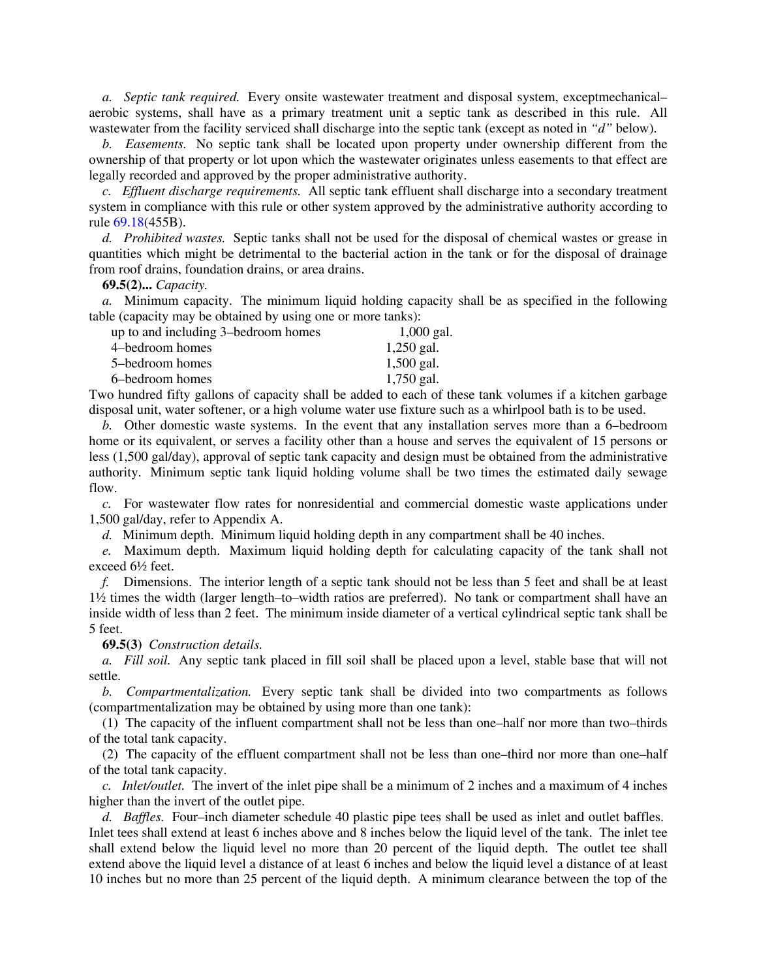*a. Septic tank required.* Every onsite wastewater treatment and disposal system, exceptmechanical– aerobic systems, shall have as a primary treatment unit a septic tank as described in this rule. All wastewater from the facility serviced shall discharge into the septic tank (except as noted in *"d"* below).

*b. Easements.* No septic tank shall be located upon property under ownership different from the ownership of that property or lot upon which the wastewater originates unless easements to that effect are legally recorded and approved by the proper administrative authority.

*c. Effluent discharge requirements.* All septic tank effluent shall discharge into a secondary treatment system in compliance with this rule or other system approved by the administrative authority according to rule 69.18(455B).

*d. Prohibited wastes.* Septic tanks shall not be used for the disposal of chemical wastes or grease in quantities which might be detrimental to the bacterial action in the tank or for the disposal of drainage from roof drains, foundation drains, or area drains.

**69.5(2)...** *Capacity.*

*a.* Minimum capacity. The minimum liquid holding capacity shall be as specified in the following table (capacity may be obtained by using one or more tanks):

| up to and including 3-bedroom homes | $1,000$ gal. |
|-------------------------------------|--------------|
| 4–bedroom homes                     | $1,250$ gal. |
| 5-bedroom homes                     | $1,500$ gal. |
| 6–bedroom homes                     | $1,750$ gal. |

Two hundred fifty gallons of capacity shall be added to each of these tank volumes if a kitchen garbage disposal unit, water softener, or a high volume water use fixture such as a whirlpool bath is to be used.

*b.* Other domestic waste systems. In the event that any installation serves more than a 6–bedroom home or its equivalent, or serves a facility other than a house and serves the equivalent of 15 persons or less (1,500 gal/day), approval of septic tank capacity and design must be obtained from the administrative authority. Minimum septic tank liquid holding volume shall be two times the estimated daily sewage flow.

*c.* For wastewater flow rates for nonresidential and commercial domestic waste applications under 1,500 gal/day, refer to Appendix A.

*d.* Minimum depth. Minimum liquid holding depth in any compartment shall be 40 inches.

*e.* Maximum depth. Maximum liquid holding depth for calculating capacity of the tank shall not exceed 6½ feet.

*f.* Dimensions. The interior length of a septic tank should not be less than 5 feet and shall be at least 1½ times the width (larger length–to–width ratios are preferred). No tank or compartment shall have an inside width of less than 2 feet. The minimum inside diameter of a vertical cylindrical septic tank shall be 5 feet.

**69.5(3)** *Construction details.*

*a. Fill soil.* Any septic tank placed in fill soil shall be placed upon a level, stable base that will not settle.

*b. Compartmentalization.* Every septic tank shall be divided into two compartments as follows (compartmentalization may be obtained by using more than one tank):

(1) The capacity of the influent compartment shall not be less than one–half nor more than two–thirds of the total tank capacity.

(2) The capacity of the effluent compartment shall not be less than one–third nor more than one–half of the total tank capacity.

*c. Inlet/outlet.*The invert of the inlet pipe shall be a minimum of 2 inches and a maximum of 4 inches higher than the invert of the outlet pipe.

*d. Baffles.* Four–inch diameter schedule 40 plastic pipe tees shall be used as inlet and outlet baffles. Inlet tees shall extend at least 6 inches above and 8 inches below the liquid level of the tank. The inlet tee shall extend below the liquid level no more than 20 percent of the liquid depth. The outlet tee shall extend above the liquid level a distance of at least 6 inches and below the liquid level a distance of at least 10 inches but no more than 25 percent of the liquid depth. A minimum clearance between the top of the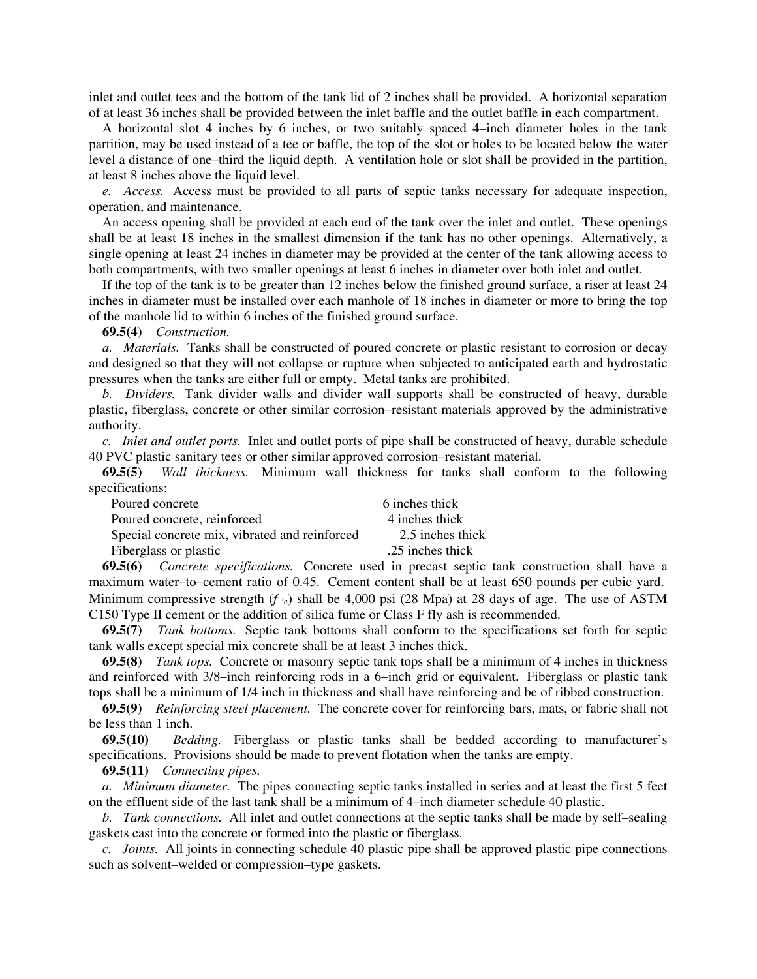inlet and outlet tees and the bottom of the tank lid of 2 inches shall be provided. A horizontal separation of at least 36 inches shall be provided between the inlet baffle and the outlet baffle in each compartment.

A horizontal slot 4 inches by 6 inches, or two suitably spaced 4–inch diameter holes in the tank partition, may be used instead of a tee or baffle, the top of the slot or holes to be located below the water level a distance of one–third the liquid depth. A ventilation hole or slot shall be provided in the partition, at least 8 inches above the liquid level.

*e. Access.* Access must be provided to all parts of septic tanks necessary for adequate inspection, operation, and maintenance.

An access opening shall be provided at each end of the tank over the inlet and outlet. These openings shall be at least 18 inches in the smallest dimension if the tank has no other openings. Alternatively, a single opening at least 24 inches in diameter may be provided at the center of the tank allowing access to both compartments, with two smaller openings at least 6 inches in diameter over both inlet and outlet.

If the top of the tank is to be greater than 12 inches below the finished ground surface, a riser at least 24 inches in diameter must be installed over each manhole of 18 inches in diameter or more to bring the top of the manhole lid to within 6 inches of the finished ground surface.

**69.5(4)** *Construction.*

*a. Materials.* Tanks shall be constructed of poured concrete or plastic resistant to corrosion or decay and designed so that they will not collapse or rupture when subjected to anticipated earth and hydrostatic pressures when the tanks are either full or empty. Metal tanks are prohibited.

*b. Dividers.* Tank divider walls and divider wall supports shall be constructed of heavy, durable plastic, fiberglass, concrete or other similar corrosion–resistant materials approved by the administrative authority.

*c. Inlet and outlet ports.* Inlet and outlet ports of pipe shall be constructed of heavy, durable schedule 40 PVC plastic sanitary tees or other similar approved corrosion–resistant material.

**69.5(5)** *Wall thickness.* Minimum wall thickness for tanks shall conform to the following specifications:

| Poured concrete                               | 6 inches thick   |
|-----------------------------------------------|------------------|
| Poured concrete, reinforced                   | 4 inches thick   |
| Special concrete mix, vibrated and reinforced | 2.5 inches thick |
| Fiberglass or plastic                         | .25 inches thick |

**69.5(6)** *Concrete specifications.* Concrete used in precast septic tank construction shall have a maximum water–to–cement ratio of 0.45. Cement content shall be at least 650 pounds per cubic yard. Minimum compressive strength  $(f_0)$  shall be 4,000 psi (28 Mpa) at 28 days of age. The use of ASTM C150 Type II cement or the addition of silica fume or Class F fly ash is recommended.

**69.5(7)** *Tank bottoms.* Septic tank bottoms shall conform to the specifications set forth for septic tank walls except special mix concrete shall be at least 3 inches thick.

**69.5(8)** *Tank tops.* Concrete or masonry septic tank tops shall be a minimum of 4 inches in thickness and reinforced with 3/8–inch reinforcing rods in a 6–inch grid or equivalent. Fiberglass or plastic tank tops shall be a minimum of 1/4 inch in thickness and shall have reinforcing and be of ribbed construction.

**69.5(9)** *Reinforcing steel placement.* The concrete cover for reinforcing bars, mats, or fabric shall not be less than 1 inch.

**69.5(10)** *Bedding.* Fiberglass or plastic tanks shall be bedded according to manufacturer's specifications. Provisions should be made to prevent flotation when the tanks are empty.

**69.5(11)** *Connecting pipes.*

*a. Minimum diameter.* The pipes connecting septic tanks installed in series and at least the first 5 feet on the effluent side of the last tank shall be a minimum of 4–inch diameter schedule 40 plastic.

*b. Tank connections.* All inlet and outlet connections at the septic tanks shall be made by self–sealing gaskets cast into the concrete or formed into the plastic or fiberglass.

*c. Joints.* All joints in connecting schedule 40 plastic pipe shall be approved plastic pipe connections such as solvent–welded or compression–type gaskets.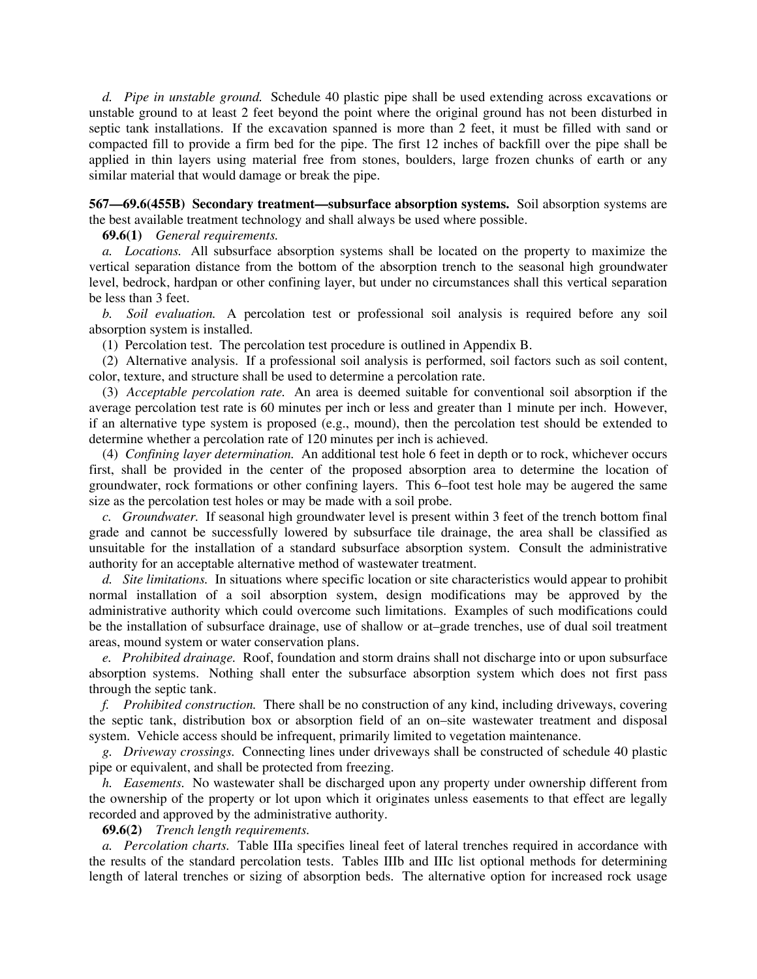*d. Pipe in unstable ground.* Schedule 40 plastic pipe shall be used extending across excavations or unstable ground to at least 2 feet beyond the point where the original ground has not been disturbed in septic tank installations. If the excavation spanned is more than 2 feet, it must be filled with sand or compacted fill to provide a firm bed for the pipe. The first 12 inches of backfill over the pipe shall be applied in thin layers using material free from stones, boulders, large frozen chunks of earth or any similar material that would damage or break the pipe.

**567—69.6(455B) Secondary treatment—subsurface absorption systems.** Soil absorption systems are the best available treatment technology and shall always be used where possible.

**69.6(1)** *General requirements.*

*a. Locations.* All subsurface absorption systems shall be located on the property to maximize the vertical separation distance from the bottom of the absorption trench to the seasonal high groundwater level, bedrock, hardpan or other confining layer, but under no circumstances shall this vertical separation be less than 3 feet.

*b. Soil evaluation.* A percolation test or professional soil analysis is required before any soil absorption system is installed.

(1) Percolation test. The percolation test procedure is outlined in Appendix B.

(2) Alternative analysis. If a professional soil analysis is performed, soil factors such as soil content, color, texture, and structure shall be used to determine a percolation rate.

(3) *Acceptable percolation rate.* An area is deemed suitable for conventional soil absorption if the average percolation test rate is 60 minutes per inch or less and greater than 1 minute per inch. However, if an alternative type system is proposed (e.g., mound), then the percolation test should be extended to determine whether a percolation rate of 120 minutes per inch is achieved.

(4) *Confining layer determination.* An additional test hole 6 feet in depth or to rock, whichever occurs first, shall be provided in the center of the proposed absorption area to determine the location of groundwater, rock formations or other confining layers. This 6–foot test hole may be augered the same size as the percolation test holes or may be made with a soil probe.

*c. Groundwater.* If seasonal high groundwater level is present within 3 feet of the trench bottom final grade and cannot be successfully lowered by subsurface tile drainage, the area shall be classified as unsuitable for the installation of a standard subsurface absorption system. Consult the administrative authority for an acceptable alternative method of wastewater treatment.

*d. Site limitations.* In situations where specific location or site characteristics would appear to prohibit normal installation of a soil absorption system, design modifications may be approved by the administrative authority which could overcome such limitations. Examples of such modifications could be the installation of subsurface drainage, use of shallow or at–grade trenches, use of dual soil treatment areas, mound system or water conservation plans.

*e. Prohibited drainage.* Roof, foundation and storm drains shall not discharge into or upon subsurface absorption systems. Nothing shall enter the subsurface absorption system which does not first pass through the septic tank.

*f. Prohibited construction.* There shall be no construction of any kind, including driveways, covering the septic tank, distribution box or absorption field of an on–site wastewater treatment and disposal system. Vehicle access should be infrequent, primarily limited to vegetation maintenance.

*g. Driveway crossings.* Connecting lines under driveways shall be constructed of schedule 40 plastic pipe or equivalent, and shall be protected from freezing.

*h. Easements.* No wastewater shall be discharged upon any property under ownership different from the ownership of the property or lot upon which it originates unless easements to that effect are legally recorded and approved by the administrative authority.

**69.6(2)** *Trench length requirements.*

*a. Percolation charts.* Table IIIa specifies lineal feet of lateral trenches required in accordance with the results of the standard percolation tests. Tables IIIb and IIIc list optional methods for determining length of lateral trenches or sizing of absorption beds. The alternative option for increased rock usage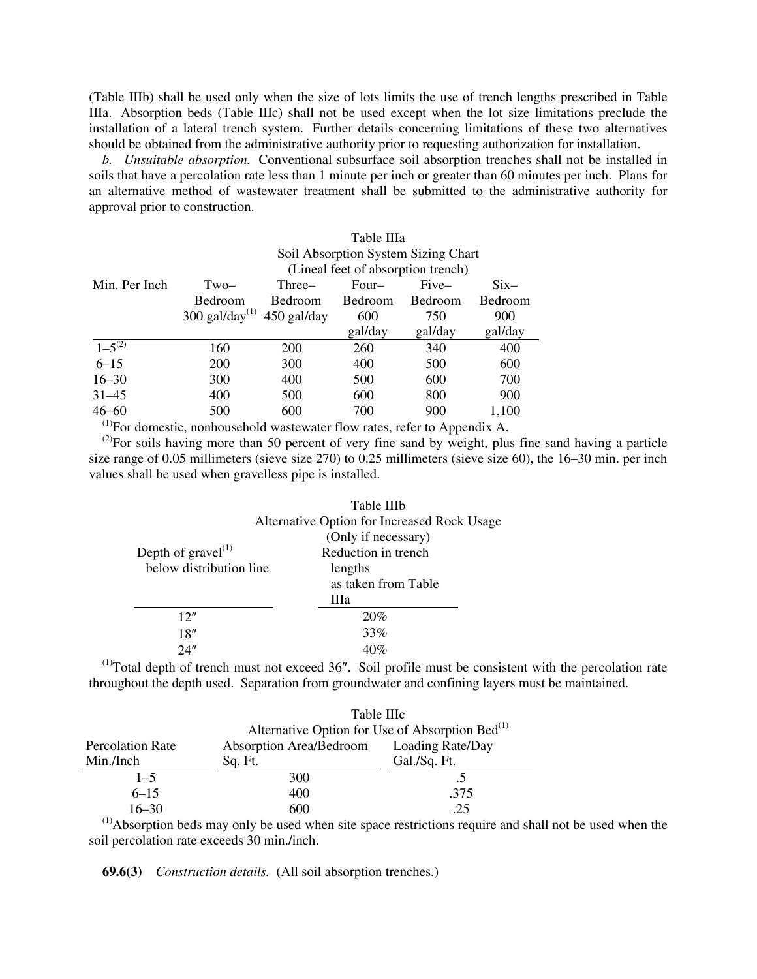(Table IIIb) shall be used only when the size of lots limits the use of trench lengths prescribed in Table IIIa. Absorption beds (Table IIIc) shall not be used except when the lot size limitations preclude the installation of a lateral trench system. Further details concerning limitations of these two alternatives should be obtained from the administrative authority prior to requesting authorization for installation.

*b. Unsuitable absorption.* Conventional subsurface soil absorption trenches shall not be installed in soils that have a percolation rate less than 1 minute per inch or greater than 60 minutes per inch. Plans for an alternative method of wastewater treatment shall be submitted to the administrative authority for approval prior to construction.

|                                                                                       | Table IIIa           |                                     |                |         |              |
|---------------------------------------------------------------------------------------|----------------------|-------------------------------------|----------------|---------|--------------|
|                                                                                       |                      | Soil Absorption System Sizing Chart |                |         |              |
|                                                                                       |                      | (Lineal feet of absorption trench)  |                |         |              |
| Min. Per Inch                                                                         | Two-                 | Three–                              | Four-          | Five-   | $\rm {Six-}$ |
|                                                                                       | Bedroom              | <b>Bedroom</b>                      | <b>Bedroom</b> | Bedroom | Bedroom      |
|                                                                                       | 300 gal/day $^{(1)}$ | 450 gal/day                         | 600            | 750     | 900          |
|                                                                                       |                      |                                     | gal/day        | gal/day | gal/day      |
| $1 - 5^{(2)}$                                                                         | 160                  | 200                                 | 260            | 340     | 400          |
| $6 - 15$                                                                              | <b>200</b>           | 300                                 | 400            | 500     | 600          |
| $16 - 30$                                                                             | 300                  | 400                                 | 500            | 600     | 700          |
| $31 - 45$                                                                             | 400                  | 500                                 | 600            | 800     | 900          |
| $46 - 60$                                                                             | 500                  | 600                                 | 700            | 900     | 1,100        |
| <sup>(1)</sup> For domestic, nonhousehold wastewater flow rates, refer to Appendix A. |                      |                                     |                |         |              |

<sup>(2)</sup>For soils having more than 50 percent of very fine sand by weight, plus fine sand having a particle size range of 0.05 millimeters (sieve size 270) to 0.25 millimeters (sieve size 60), the 16–30 min. per inch values shall be used when gravelless pipe is installed.

|                                  | Table IIIb                                  |
|----------------------------------|---------------------------------------------|
|                                  | Alternative Option for Increased Rock Usage |
|                                  | (Only if necessary)                         |
| Depth of $gravel$ <sup>(1)</sup> | Reduction in trench                         |
| below distribution line          | lengths                                     |
|                                  | as taken from Table                         |
|                                  | Шa                                          |
| 12''                             | 20%                                         |
| 18"                              | 33%                                         |
| 24"                              |                                             |

 $<sup>(1)</sup>$ Total depth of trench must not exceed 36". Soil profile must be consistent with the percolation rate</sup> throughout the depth used. Separation from groundwater and confining layers must be maintained.

|                         | Table IIIc              |                                                             |  |  |
|-------------------------|-------------------------|-------------------------------------------------------------|--|--|
|                         |                         | Alternative Option for Use of Absorption Bed <sup>(1)</sup> |  |  |
| <b>Percolation Rate</b> | Absorption Area/Bedroom | Loading Rate/Day                                            |  |  |
| Min./Inch               | Sq. Ft.                 | Gal./Sq. Ft.                                                |  |  |
| $1 - 5$                 | 300                     |                                                             |  |  |
| $6 - 15$                | 400                     | .375                                                        |  |  |
| $16 - 30$<br>$-1$       | 600                     | .25                                                         |  |  |

(1)Absorption beds may only be used when site space restrictions require and shall not be used when the soil percolation rate exceeds 30 min./inch.

**69.6(3)** *Construction details.* (All soil absorption trenches.)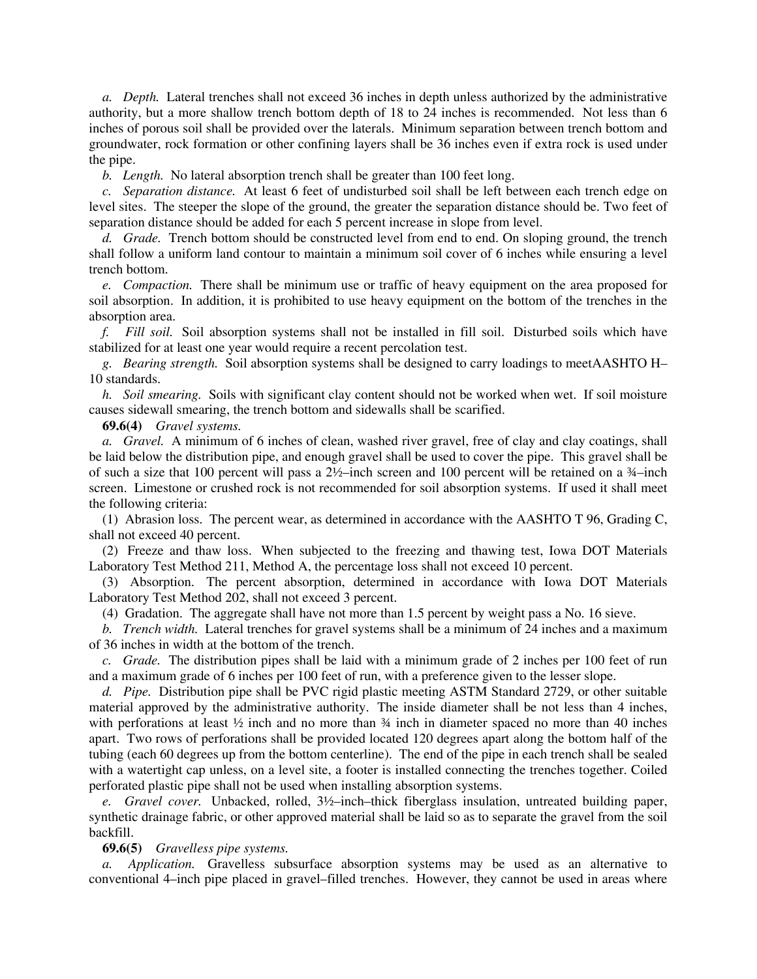*a. Depth.* Lateral trenches shall not exceed 36 inches in depth unless authorized by the administrative authority, but a more shallow trench bottom depth of 18 to 24 inches is recommended. Not less than 6 inches of porous soil shall be provided over the laterals. Minimum separation between trench bottom and groundwater, rock formation or other confining layers shall be 36 inches even if extra rock is used under the pipe.

*b. Length.* No lateral absorption trench shall be greater than 100 feet long.

*c. Separation distance.* At least 6 feet of undisturbed soil shall be left between each trench edge on level sites. The steeper the slope of the ground, the greater the separation distance should be. Two feet of separation distance should be added for each 5 percent increase in slope from level.

*d. Grade.* Trench bottom should be constructed level from end to end. On sloping ground, the trench shall follow a uniform land contour to maintain a minimum soil cover of 6 inches while ensuring a level trench bottom.

*e. Compaction.* There shall be minimum use or traffic of heavy equipment on the area proposed for soil absorption. In addition, it is prohibited to use heavy equipment on the bottom of the trenches in the absorption area.

*f. Fill soil.* Soil absorption systems shall not be installed in fill soil. Disturbed soils which have stabilized for at least one year would require a recent percolation test.

*g. Bearing strength.* Soil absorption systems shall be designed to carry loadings to meetAASHTO H– 10 standards.

*h. Soil smearing.* Soils with significant clay content should not be worked when wet. If soil moisture causes sidewall smearing, the trench bottom and sidewalls shall be scarified.

**69.6(4)** *Gravel systems.*

*a. Gravel.* A minimum of 6 inches of clean, washed river gravel, free of clay and clay coatings, shall be laid below the distribution pipe, and enough gravel shall be used to cover the pipe. This gravel shall be of such a size that 100 percent will pass a  $2\frac{1}{2}$ –inch screen and 100 percent will be retained on a  $\frac{3}{4}$ –inch screen. Limestone or crushed rock is not recommended for soil absorption systems. If used it shall meet the following criteria:

(1) Abrasion loss. The percent wear, as determined in accordance with the AASHTO T 96, Grading C, shall not exceed 40 percent.

(2) Freeze and thaw loss. When subjected to the freezing and thawing test, Iowa DOT Materials Laboratory Test Method 211, Method A, the percentage loss shall not exceed 10 percent.

(3) Absorption. The percent absorption, determined in accordance with Iowa DOT Materials Laboratory Test Method 202, shall not exceed 3 percent.

(4) Gradation.The aggregate shall have not more than 1.5 percent by weight pass a No. 16 sieve.

*b. Trench width.* Lateral trenches for gravel systems shall be a minimum of 24 inches and a maximum of 36 inches in width at the bottom of the trench.

*c. Grade.* The distribution pipes shall be laid with a minimum grade of 2 inches per 100 feet of run and a maximum grade of 6 inches per 100 feet of run, with a preference given to the lesser slope.

*d. Pipe.* Distribution pipe shall be PVC rigid plastic meeting ASTM Standard 2729, or other suitable material approved by the administrative authority. The inside diameter shall be not less than 4 inches, with perforations at least  $\frac{1}{2}$  inch and no more than  $\frac{3}{4}$  inch in diameter spaced no more than 40 inches apart. Two rows of perforations shall be provided located 120 degrees apart along the bottom half of the tubing (each 60 degrees up from the bottom centerline). The end of the pipe in each trench shall be sealed with a watertight cap unless, on a level site, a footer is installed connecting the trenches together. Coiled perforated plastic pipe shall not be used when installing absorption systems.

*e. Gravel cover.* Unbacked, rolled, 3½–inch–thick fiberglass insulation, untreated building paper, synthetic drainage fabric, or other approved material shall be laid so as to separate the gravel from the soil backfill.

## **69.6(5)** *Gravelless pipe systems.*

*a. Application.* Gravelless subsurface absorption systems may be used as an alternative to conventional 4–inch pipe placed in gravel–filled trenches. However, they cannot be used in areas where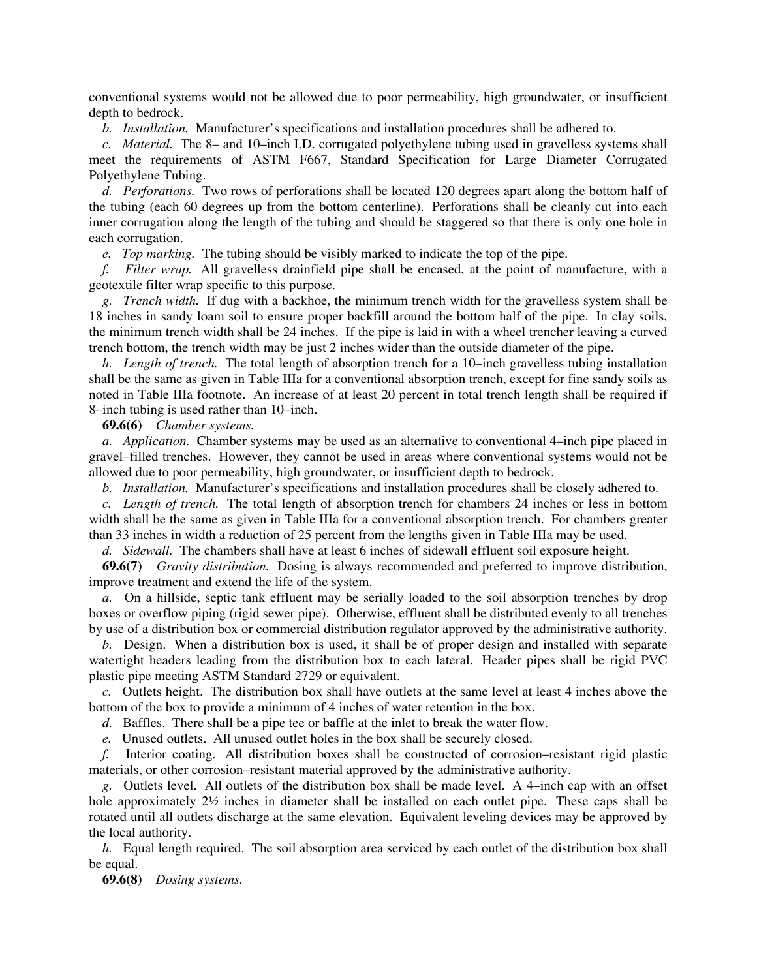conventional systems would not be allowed due to poor permeability, high groundwater, or insufficient depth to bedrock.

*b. Installation.* Manufacturer's specifications and installation procedures shall be adhered to.

*c. Material.* The 8– and 10–inch I.D. corrugated polyethylene tubing used in gravelless systems shall meet the requirements of ASTM F667, Standard Specification for Large Diameter Corrugated Polyethylene Tubing.

*d. Perforations.* Two rows of perforations shall be located 120 degrees apart along the bottom half of the tubing (each 60 degrees up from the bottom centerline). Perforations shall be cleanly cut into each inner corrugation along the length of the tubing and should be staggered so that there is only one hole in each corrugation.

*e. Top marking.* The tubing should be visibly marked to indicate the top of the pipe.

*f. Filter wrap.* All gravelless drainfield pipe shall be encased, at the point of manufacture, with a geotextile filter wrap specific to this purpose.

*g. Trench width.* If dug with a backhoe, the minimum trench width for the gravelless system shall be 18 inches in sandy loam soil to ensure proper backfill around the bottom half of the pipe. In clay soils, the minimum trench width shall be 24 inches. If the pipe is laid in with a wheel trencher leaving a curved trench bottom, the trench width may be just 2 inches wider than the outside diameter of the pipe.

*h. Length of trench.* The total length of absorption trench for a 10–inch gravelless tubing installation shall be the same as given in Table IIIa for a conventional absorption trench, except for fine sandy soils as noted in Table IIIa footnote. An increase of at least 20 percent in total trench length shall be required if 8–inch tubing is used rather than 10–inch.

**69.6(6)** *Chamber systems.*

*a. Application.* Chamber systems may be used as an alternative to conventional 4–inch pipe placed in gravel–filled trenches. However, they cannot be used in areas where conventional systems would not be allowed due to poor permeability, high groundwater, or insufficient depth to bedrock.

*b. Installation.* Manufacturer's specifications and installation procedures shall be closely adhered to.

*c. Length of trench.* The total length of absorption trench for chambers 24 inches or less in bottom width shall be the same as given in Table IIIa for a conventional absorption trench. For chambers greater than 33 inches in width a reduction of 25 percent from the lengths given in Table IIIa may be used.

*d. Sidewall.* The chambers shall have at least 6 inches of sidewall effluent soil exposure height.

**69.6(7)** *Gravity distribution.*Dosing is always recommended and preferred to improve distribution, improve treatment and extend the life of the system.

*a.* On a hillside, septic tank effluent may be serially loaded to the soil absorption trenches by drop boxes or overflow piping (rigid sewer pipe). Otherwise, effluent shall be distributed evenly to all trenches by use of a distribution box or commercial distribution regulator approved by the administrative authority.

*b.* Design. When a distribution box is used, it shall be of proper design and installed with separate watertight headers leading from the distribution box to each lateral. Header pipes shall be rigid PVC plastic pipe meeting ASTM Standard 2729 or equivalent.

*c.* Outlets height. The distribution box shall have outlets at the same level at least 4 inches above the bottom of the box to provide a minimum of 4 inches of water retention in the box.

*d.* Baffles. There shall be a pipe tee or baffle at the inlet to break the water flow.

*e.* Unused outlets. All unused outlet holes in the box shall be securely closed.

*f.* Interior coating. All distribution boxes shall be constructed of corrosion–resistant rigid plastic materials, or other corrosion–resistant material approved by the administrative authority.

*g.* Outlets level. All outlets of the distribution box shall be made level.A 4–inch cap with an offset hole approximately  $2\frac{1}{2}$  inches in diameter shall be installed on each outlet pipe. These caps shall be rotated until all outlets discharge at the same elevation. Equivalent leveling devices may be approved by the local authority.

*h.* Equal length required. The soil absorption area serviced by each outlet of the distribution box shall be equal.

**69.6(8)** *Dosing systems.*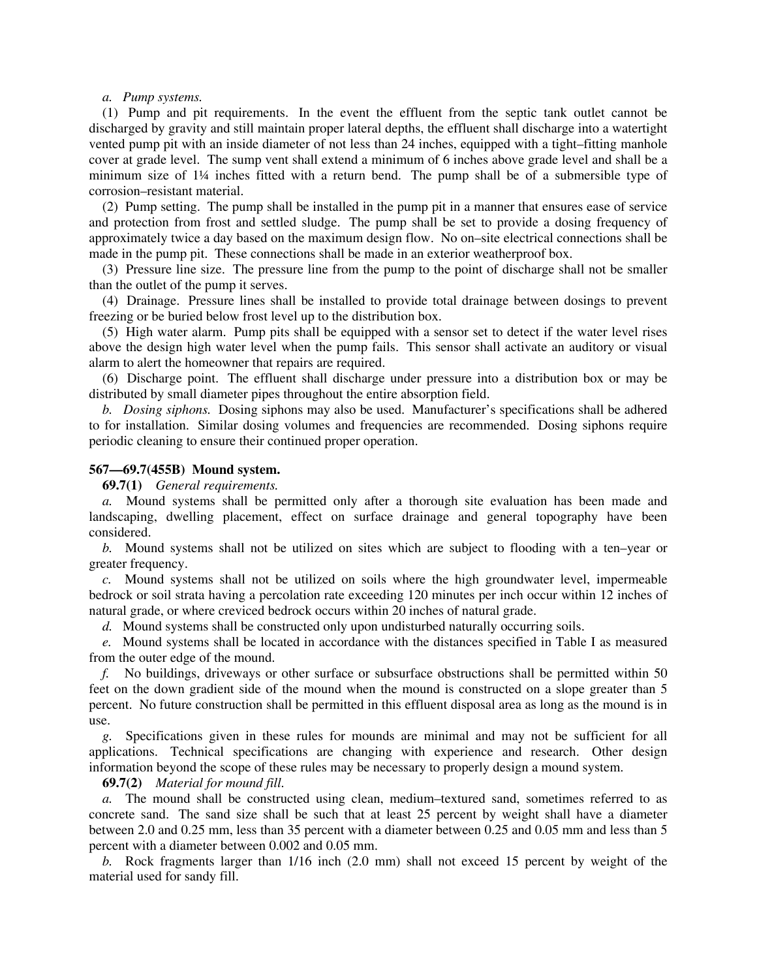### *a. Pump systems.*

(1) Pump and pit requirements. In the event the effluent from the septic tank outlet cannot be discharged by gravity and still maintain proper lateral depths, the effluent shall discharge into a watertight vented pump pit with an inside diameter of not less than 24 inches, equipped with a tight–fitting manhole cover at grade level. The sump vent shall extend a minimum of 6 inches above grade level and shall be a minimum size of 1¼ inches fitted with a return bend. The pump shall be of a submersible type of corrosion–resistant material.

(2) Pump setting. The pump shall be installed in the pump pit in a manner that ensures ease of service and protection from frost and settled sludge. The pump shall be set to provide a dosing frequency of approximately twice a day based on the maximum design flow. No on–site electrical connections shall be made in the pump pit. These connections shall be made in an exterior weatherproof box.

(3) Pressure line size. The pressure line from the pump to the point of discharge shall not be smaller than the outlet of the pump it serves.

(4) Drainage. Pressure lines shall be installed to provide total drainage between dosings to prevent freezing or be buried below frost level up to the distribution box.

(5) High water alarm. Pump pits shall be equipped with a sensor set to detect if the water level rises above the design high water level when the pump fails. This sensor shall activate an auditory or visual alarm to alert the homeowner that repairs are required.

(6) Discharge point. The effluent shall discharge under pressure into a distribution box or may be distributed by small diameter pipes throughout the entire absorption field.

*b. Dosing siphons.* Dosing siphons may also be used. Manufacturer's specifications shall be adhered to for installation. Similar dosing volumes and frequencies are recommended. Dosing siphons require periodic cleaning to ensure their continued proper operation.

## **567—69.7(455B) Mound system.**

**69.7(1)** *General requirements.*

*a.* Mound systems shall be permitted only after a thorough site evaluation has been made and landscaping, dwelling placement, effect on surface drainage and general topography have been considered.

*b.* Mound systems shall not be utilized on sites which are subject to flooding with a ten–year or greater frequency.

*c.* Mound systems shall not be utilized on soils where the high groundwater level, impermeable bedrock or soil strata having a percolation rate exceeding 120 minutes per inch occur within 12 inches of natural grade, or where creviced bedrock occurs within 20 inches of natural grade.

*d.* Mound systems shall be constructed only upon undisturbed naturally occurring soils.

*e.* Mound systems shall be located in accordance with the distances specified in Table I as measured from the outer edge of the mound.

*f.* No buildings, driveways or other surface or subsurface obstructions shall be permitted within 50 feet on the down gradient side of the mound when the mound is constructed on a slope greater than 5 percent. No future construction shall be permitted in this effluent disposal area as long as the mound is in use.

*g.* Specifications given in these rules for mounds are minimal and may not be sufficient for all applications. Technical specifications are changing with experience and research. Other design information beyond the scope of these rules may be necessary to properly design a mound system.

# **69.7(2)** *Material for mound fill.*

*a.* The mound shall be constructed using clean, medium–textured sand, sometimes referred to as concrete sand. The sand size shall be such that at least 25 percent by weight shall have a diameter between 2.0 and 0.25 mm, less than 35 percent with a diameter between 0.25 and 0.05 mm and less than 5 percent with a diameter between 0.002 and 0.05 mm.

*b.* Rock fragments larger than 1/16 inch (2.0 mm) shall not exceed 15 percent by weight of the material used for sandy fill.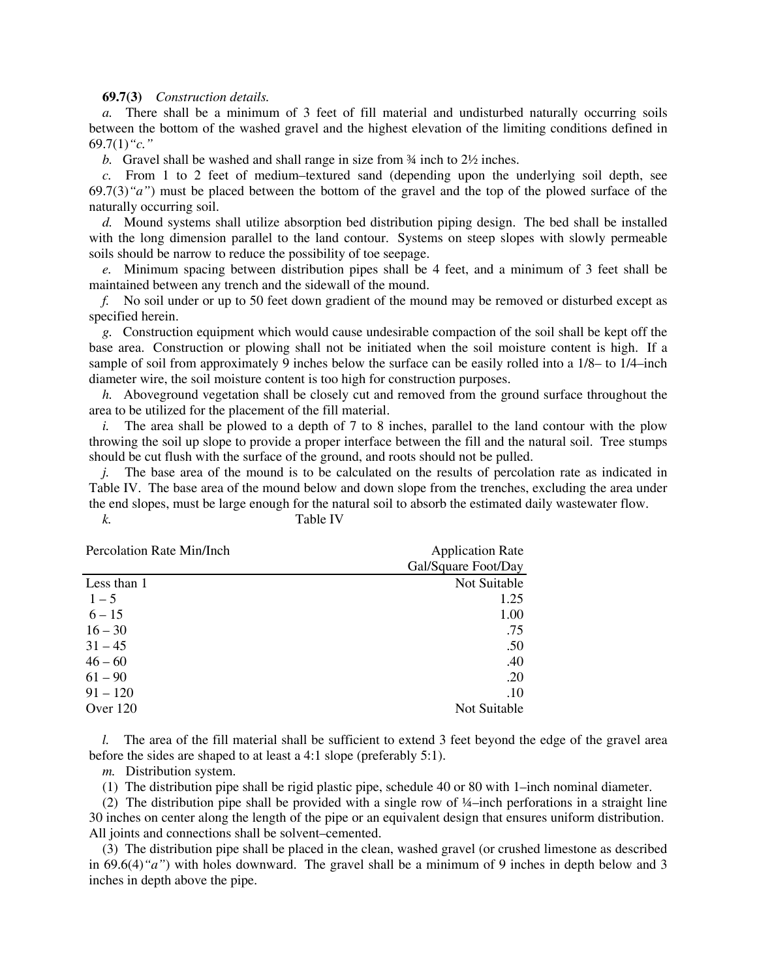## **69.7(3)** *Construction details.*

*a.* There shall be a minimum of 3 feet of fill material and undisturbed naturally occurring soils between the bottom of the washed gravel and the highest elevation of the limiting conditions defined in 69.7(1)*"c."*

*b.* Gravel shall be washed and shall range in size from ¾ inch to 2½ inches.

*c.* From 1 to 2 feet of medium–textured sand (depending upon the underlying soil depth, see 69.7(3)*"a"*) must be placed between the bottom of the gravel and the top of the plowed surface of the naturally occurring soil.

*d.* Mound systems shall utilize absorption bed distribution piping design. The bed shall be installed with the long dimension parallel to the land contour. Systems on steep slopes with slowly permeable soils should be narrow to reduce the possibility of toe seepage.

*e.* Minimum spacing between distribution pipes shall be 4 feet, and a minimum of 3 feet shall be maintained between any trench and the sidewall of the mound.

*f.* No soil under or up to 50 feet down gradient of the mound may be removed or disturbed except as specified herein.

*g.* Construction equipment which would cause undesirable compaction of the soil shall be kept off the base area. Construction or plowing shall not be initiated when the soil moisture content is high. If a sample of soil from approximately 9 inches below the surface can be easily rolled into a 1/8– to 1/4–inch diameter wire, the soil moisture content is too high for construction purposes.

*h.* Aboveground vegetation shall be closely cut and removed from the ground surface throughout the area to be utilized for the placement of the fill material.

*i.* The area shall be plowed to a depth of 7 to 8 inches, parallel to the land contour with the plow throwing the soil up slope to provide a proper interface between the fill and the natural soil. Tree stumps should be cut flush with the surface of the ground, and roots should not be pulled.

*j.* The base area of the mound is to be calculated on the results of percolation rate as indicated in Table IV. The base area of the mound below and down slope from the trenches, excluding the area under the end slopes, must be large enough for the natural soil to absorb the estimated daily wastewater flow. *k.* Table IV

| Percolation Rate Min/Inch | <b>Application Rate</b> |  |  |
|---------------------------|-------------------------|--|--|
|                           | Gal/Square Foot/Day     |  |  |
| Less than 1               | Not Suitable            |  |  |
| $1 - 5$                   | 1.25                    |  |  |
| $6 - 15$                  | 1.00                    |  |  |
| $16 - 30$                 | .75                     |  |  |
| $31 - 45$                 | .50                     |  |  |
| $46 - 60$                 | .40                     |  |  |
| $61 - 90$                 | .20                     |  |  |
| $91 - 120$                | .10                     |  |  |
| Over 120                  | Not Suitable            |  |  |

*l.* The area of the fill material shall be sufficient to extend 3 feet beyond the edge of the gravel area before the sides are shaped to at least a 4:1 slope (preferably 5:1).

*m.* Distribution system.

(1) The distribution pipe shall be rigid plastic pipe, schedule 40 or 80 with 1–inch nominal diameter.

(2) The distribution pipe shall be provided with a single row of ¼–inch perforations in a straight line 30 inches on center along the length of the pipe or an equivalent design that ensures uniform distribution. All joints and connections shall be solvent–cemented.

(3) The distribution pipe shall be placed in the clean, washed gravel (or crushed limestone as described in 69.6(4)*"a"*) with holes downward. The gravel shall be a minimum of 9 inches in depth below and 3 inches in depth above the pipe.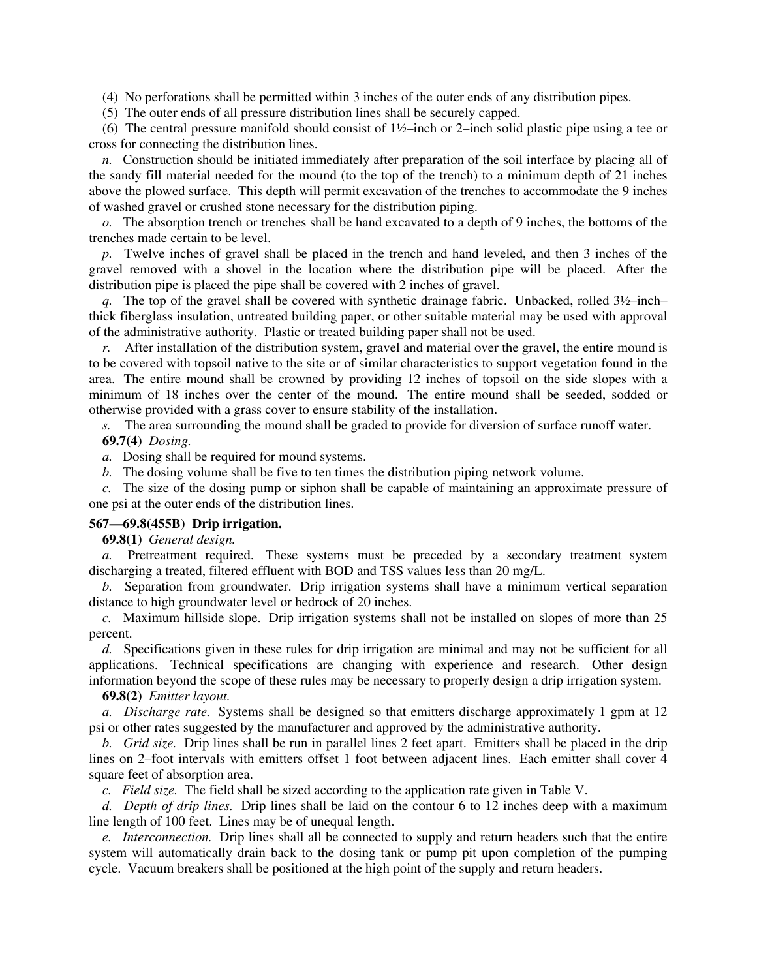(4) No perforations shall be permitted within 3 inches of the outer ends of any distribution pipes.

(5) The outer ends of all pressure distribution lines shall be securely capped.

(6) The central pressure manifold should consist of 1½–inch or 2–inch solid plastic pipe using a tee or cross for connecting the distribution lines.

*n.* Construction should be initiated immediately after preparation of the soil interface by placing all of the sandy fill material needed for the mound (to the top of the trench) to a minimum depth of 21 inches above the plowed surface. This depth will permit excavation of the trenches to accommodate the 9 inches of washed gravel or crushed stone necessary for the distribution piping.

*o.* The absorption trench or trenches shall be hand excavated to a depth of 9 inches, the bottoms of the trenches made certain to be level.

*p.* Twelve inches of gravel shall be placed in the trench and hand leveled, and then 3 inches of the gravel removed with a shovel in the location where the distribution pipe will be placed. After the distribution pipe is placed the pipe shall be covered with 2 inches of gravel.

*q.* The top of the gravel shall be covered with synthetic drainage fabric. Unbacked, rolled 3½–inch– thick fiberglass insulation, untreated building paper, or other suitable material may be used with approval of the administrative authority. Plastic or treated building paper shall not be used.

*r.* After installation of the distribution system, gravel and material over the gravel, the entire mound is to be covered with topsoil native to the site or of similar characteristics to support vegetation found in the area. The entire mound shall be crowned by providing 12 inches of topsoil on the side slopes with a minimum of 18 inches over the center of the mound. The entire mound shall be seeded, sodded or otherwise provided with a grass cover to ensure stability of the installation.

*s.* The area surrounding the mound shall be graded to provide for diversion of surface runoff water. **69.7(4)** *Dosing.*

*a.* Dosing shall be required for mound systems.

*b.* The dosing volume shall be five to ten times the distribution piping network volume.

*c.* The size of the dosing pump or siphon shall be capable of maintaining an approximate pressure of one psi at the outer ends of the distribution lines.

# **567—69.8(455B) Drip irrigation.**

**69.8(1)** *General design.*

*a.* Pretreatment required. These systems must be preceded by a secondary treatment system discharging a treated, filtered effluent with BOD and TSS values less than 20 mg/L.

*b.* Separation from groundwater. Drip irrigation systems shall have a minimum vertical separation distance to high groundwater level or bedrock of 20 inches.

*c.* Maximum hillside slope. Drip irrigation systems shall not be installed on slopes of more than 25 percent.

*d.* Specifications given in these rules for drip irrigation are minimal and may not be sufficient for all applications. Technical specifications are changing with experience and research. Other design information beyond the scope of these rules may be necessary to properly design a drip irrigation system.

# **69.8(2)** *Emitter layout.*

*a. Discharge rate.* Systems shall be designed so that emitters discharge approximately 1 gpm at 12 psi or other rates suggested by the manufacturer and approved by the administrative authority.

*b. Grid size.* Drip lines shall be run in parallel lines 2 feet apart. Emitters shall be placed in the drip lines on 2–foot intervals with emitters offset 1 foot between adjacent lines. Each emitter shall cover 4 square feet of absorption area.

*c. Field size.* The field shall be sized according to the application rate given in Table V.

*d. Depth of drip lines.* Drip lines shall be laid on the contour 6 to 12 inches deep with a maximum line length of 100 feet. Lines may be of unequal length.

*e. Interconnection.* Drip lines shall all be connected to supply and return headers such that the entire system will automatically drain back to the dosing tank or pump pit upon completion of the pumping cycle. Vacuum breakers shall be positioned at the high point of the supply and return headers.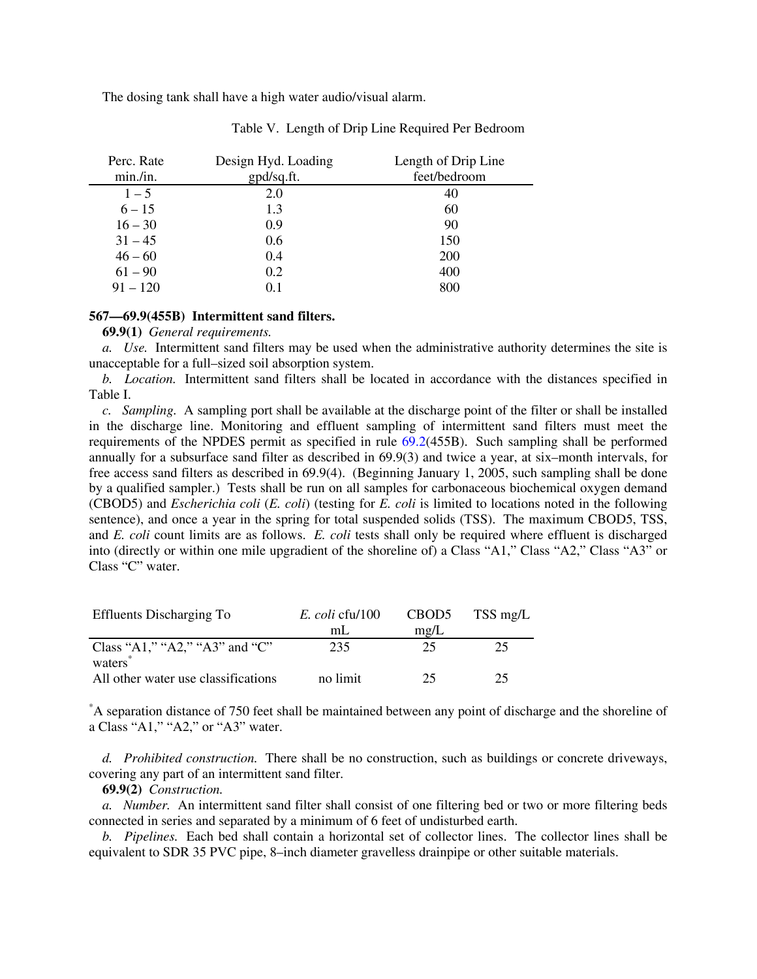The dosing tank shall have a high water audio/visual alarm.

| Perc. Rate | Design Hyd. Loading | Length of Drip Line |
|------------|---------------------|---------------------|
| min./in.   | gpd/sq.ft.          | feet/bedroom        |
| $1 - 5$    | 2.0                 | 40                  |
| $6 - 15$   | 1.3                 | 60                  |
| $16 - 30$  | 0.9                 | 90                  |
| $31 - 45$  | 0.6                 | 150                 |
| $46 - 60$  | 0.4                 | 200                 |
| $61 - 90$  | 0.2                 | 400                 |
| $91 - 120$ | 0.1                 | 800                 |

Table V. Length of Drip Line Required Per Bedroom

## **567—69.9(455B) Intermittent sand filters.**

**69.9(1)** *General requirements.*

*a. Use.* Intermittent sand filters may be used when the administrative authority determines the site is unacceptable for a full–sized soil absorption system.

*b. Location.* Intermittent sand filters shall be located in accordance with the distances specified in Table I.

*c. Sampling.* A sampling port shall be available at the discharge point of the filter or shall be installed in the discharge line. Monitoring and effluent sampling of intermittent sand filters must meet the requirements of the NPDES permit as specified in rule 69.2(455B). Such sampling shall be performed annually for a subsurface sand filter as described in 69.9(3) and twice a year, at six–month intervals, for free access sand filters as described in 69.9(4). (Beginning January 1, 2005, such sampling shall be done by a qualified sampler.) Tests shall be run on all samples for carbonaceous biochemical oxygen demand (CBOD5) and *Escherichia coli* (*E. coli*) (testing for *E. coli* is limited to locations noted in the following sentence), and once a year in the spring for total suspended solids (TSS). The maximum CBOD5, TSS, and *E. coli* count limits are as follows. *E. coli* tests shall only be required where effluent is discharged into (directly or within one mile upgradient of the shoreline of) a Class "A1," Class "A2," Class "A3" or Class "C" water.

| <b>Effluents Discharging To</b>     | E. coli cfu/100 | CBOD <sub>5</sub> | TSS mg/L |
|-------------------------------------|-----------------|-------------------|----------|
|                                     | ml.             | mg/L              |          |
| Class "A1," "A2," "A3" and "C"      | 235             | 25                | 25       |
| waters                              |                 |                   |          |
| All other water use classifications | no limit        | 25.               | 25       |

\* A separation distance of 750 feet shall be maintained between any point of discharge and the shoreline of a Class "A1," "A2," or "A3" water.

*d. Prohibited construction.* There shall be no construction, such as buildings or concrete driveways, covering any part of an intermittent sand filter.

**69.9(2)** *Construction.*

*a. Number.* An intermittent sand filter shall consist of one filtering bed or two or more filtering beds connected in series and separated by a minimum of 6 feet of undisturbed earth.

*b. Pipelines.* Each bed shall contain a horizontal set of collector lines. The collector lines shall be equivalent to SDR 35 PVC pipe, 8–inch diameter gravelless drainpipe or other suitable materials.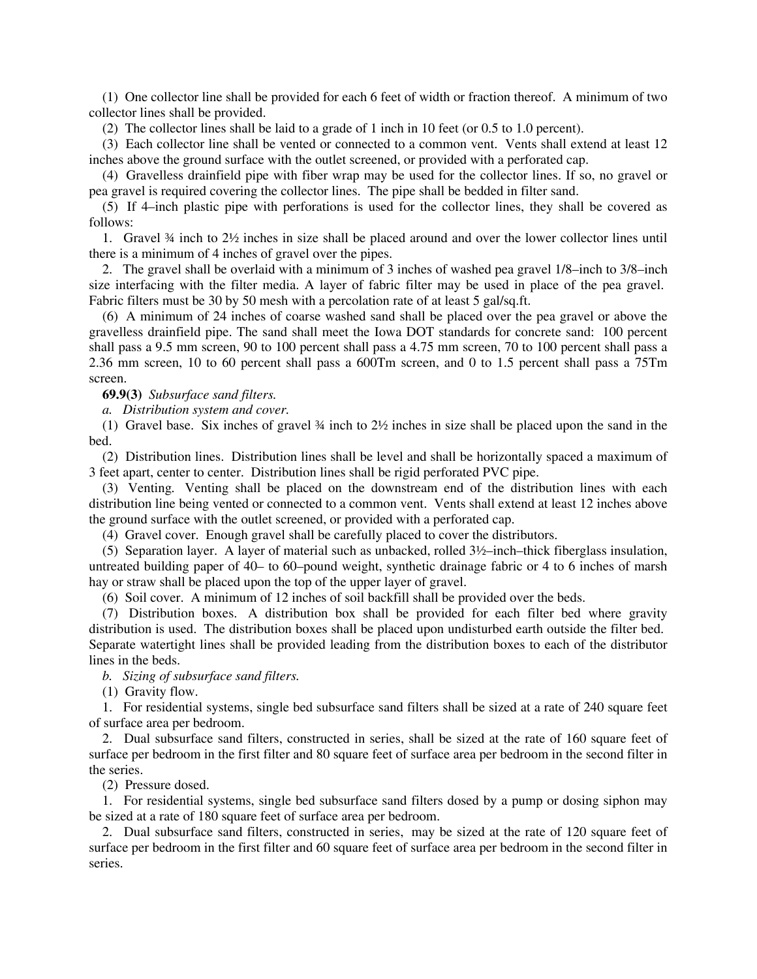(1) One collector line shall be provided for each 6 feet of width or fraction thereof. A minimum of two collector lines shall be provided.

(2) The collector lines shall be laid to a grade of 1 inch in 10 feet (or 0.5 to 1.0 percent).

(3) Each collector line shall be vented or connected to a common vent. Vents shall extend at least 12 inches above the ground surface with the outlet screened, or provided with a perforated cap.

(4) Gravelless drainfield pipe with fiber wrap may be used for the collector lines. If so, no gravel or pea gravel is required covering the collector lines. The pipe shall be bedded in filter sand.

(5) If 4–inch plastic pipe with perforations is used for the collector lines, they shall be covered as follows:

1. Gravel ¾ inch to 2½ inches in size shall be placed around and over the lower collector lines until there is a minimum of 4 inches of gravel over the pipes.

2. The gravel shall be overlaid with a minimum of 3 inches of washed pea gravel 1/8–inch to 3/8–inch size interfacing with the filter media. A layer of fabric filter may be used in place of the pea gravel. Fabric filters must be 30 by 50 mesh with a percolation rate of at least 5 gal/sq.ft.

(6) A minimum of 24 inches of coarse washed sand shall be placed over the pea gravel or above the gravelless drainfield pipe. The sand shall meet the Iowa DOT standards for concrete sand: 100 percent shall pass a 9.5 mm screen, 90 to 100 percent shall pass a 4.75 mm screen, 70 to 100 percent shall pass a 2.36 mm screen, 10 to 60 percent shall pass a 600Tm screen, and 0 to 1.5 percent shall pass a 75Tm screen.

**69.9(3)** *Subsurface sand filters.*

*a. Distribution system and cover.*

(1) Gravel base. Six inches of gravel ¾ inch to 2½ inches in size shall be placed upon the sand in the bed.

(2) Distribution lines.Distribution lines shall be level and shall be horizontally spaced a maximum of 3 feet apart, center to center. Distribution lines shall be rigid perforated PVC pipe.

(3) Venting*.* Venting shall be placed on the downstream end of the distribution lines with each distribution line being vented or connected to a common vent. Vents shall extend at least 12 inches above the ground surface with the outlet screened, or provided with a perforated cap.

(4) Gravel cover.Enough gravel shall be carefully placed to cover the distributors.

(5) Separation layer. A layer of material such as unbacked, rolled 3½–inch–thick fiberglass insulation, untreated building paper of 40– to 60–pound weight, synthetic drainage fabric or 4 to 6 inches of marsh hay or straw shall be placed upon the top of the upper layer of gravel.

(6) Soil cover. A minimum of 12 inches of soil backfill shall be provided over the beds.

(7) Distribution boxes. A distribution box shall be provided for each filter bed where gravity distribution is used. The distribution boxes shall be placed upon undisturbed earth outside the filter bed. Separate watertight lines shall be provided leading from the distribution boxes to each of the distributor lines in the beds.

*b. Sizing of subsurface sand filters.*

(1) Gravity flow.

1. For residential systems, single bed subsurface sand filters shall be sized at a rate of 240 square feet of surface area per bedroom.

2. Dual subsurface sand filters, constructed in series, shall be sized at the rate of 160 square feet of surface per bedroom in the first filter and 80 square feet of surface area per bedroom in the second filter in the series.

(2) Pressure dosed.

1. For residential systems, single bed subsurface sand filters dosed by a pump or dosing siphon may be sized at a rate of 180 square feet of surface area per bedroom.

2. Dual subsurface sand filters, constructed in series, may be sized at the rate of 120 square feet of surface per bedroom in the first filter and 60 square feet of surface area per bedroom in the second filter in series.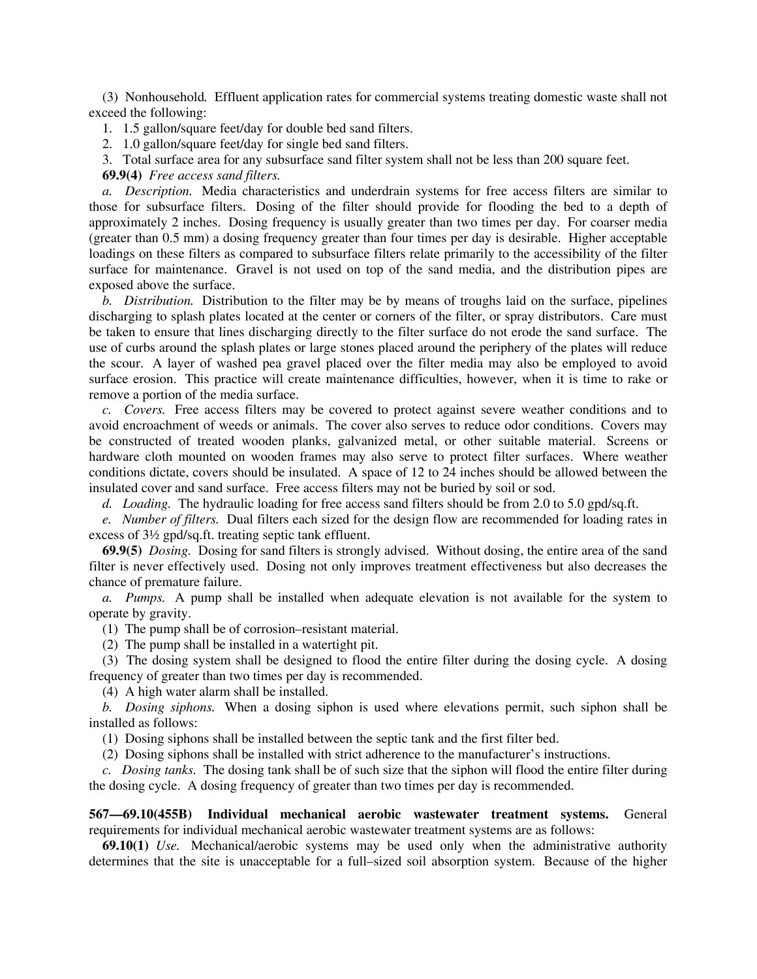(3) Nonhousehold*.* Effluent application rates for commercial systems treating domestic waste shall not exceed the following:

1. 1.5 gallon/square feet/day for double bed sand filters.

2. 1.0 gallon/square feet/day for single bed sand filters.

3. Total surface area for any subsurface sand filter system shall not be less than 200 square feet.

**69.9(4)** *Free access sand filters.*

*a. Description.* Media characteristics and underdrain systems for free access filters are similar to those for subsurface filters. Dosing of the filter should provide for flooding the bed to a depth of approximately 2 inches. Dosing frequency is usually greater than two times per day. For coarser media (greater than 0.5 mm) a dosing frequency greater than four times per day is desirable. Higher acceptable loadings on these filters as compared to subsurface filters relate primarily to the accessibility of the filter surface for maintenance. Gravel is not used on top of the sand media, and the distribution pipes are exposed above the surface.

*b. Distribution.* Distribution to the filter may be by means of troughs laid on the surface, pipelines discharging to splash plates located at the center or corners of the filter, or spray distributors. Care must be taken to ensure that lines discharging directly to the filter surface do not erode the sand surface. The use of curbs around the splash plates or large stones placed around the periphery of the plates will reduce the scour. A layer of washed pea gravel placed over the filter media may also be employed to avoid surface erosion. This practice will create maintenance difficulties, however, when it is time to rake or remove a portion of the media surface.

*c. Covers.* Free access filters may be covered to protect against severe weather conditions and to avoid encroachment of weeds or animals. The cover also serves to reduce odor conditions. Covers may be constructed of treated wooden planks, galvanized metal, or other suitable material. Screens or hardware cloth mounted on wooden frames may also serve to protect filter surfaces. Where weather conditions dictate, covers should be insulated. A space of 12 to 24 inches should be allowed between the insulated cover and sand surface. Free access filters may not be buried by soil or sod.

*d. Loading.* The hydraulic loading for free access sand filters should be from 2.0 to 5.0 gpd/sq.ft.

*e. Number of filters.* Dual filters each sized for the design flow are recommended for loading rates in excess of 3½ gpd/sq.ft. treating septic tank effluent.

**69.9(5)** *Dosing.* Dosing for sand filters is strongly advised. Without dosing, the entire area of the sand filter is never effectively used. Dosing not only improves treatment effectiveness but also decreases the chance of premature failure.

*a. Pumps.* A pump shall be installed when adequate elevation is not available for the system to operate by gravity.

(1) The pump shall be of corrosion–resistant material.

(2) The pump shall be installed in a watertight pit.

(3) The dosing system shall be designed to flood the entire filter during the dosing cycle. A dosing frequency of greater than two times per day is recommended.

(4) A high water alarm shall be installed.

*b. Dosing siphons.* When a dosing siphon is used where elevations permit, such siphon shall be installed as follows:

(1) Dosing siphons shall be installed between the septic tank and the first filter bed.

(2) Dosing siphons shall be installed with strict adherence to the manufacturer's instructions.

*c. Dosing tanks.* The dosing tank shall be of such size that the siphon will flood the entire filter during the dosing cycle. A dosing frequency of greater than two times per day is recommended.

**567—69.10(455B) Individual mechanical aerobic wastewater treatment systems.** General requirements for individual mechanical aerobic wastewater treatment systems are as follows:

**69.10(1)** *Use.* Mechanical/aerobic systems may be used only when the administrative authority determines that the site is unacceptable for a full–sized soil absorption system. Because of the higher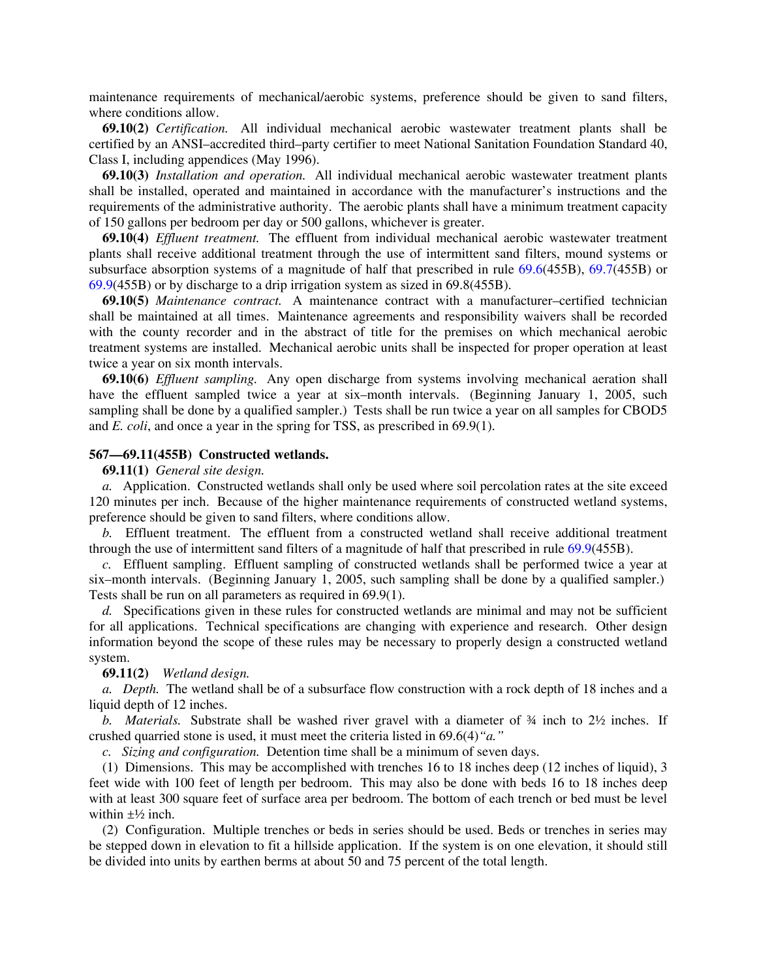maintenance requirements of mechanical/aerobic systems, preference should be given to sand filters, where conditions allow.

**69.10(2)** *Certification.*All individual mechanical aerobic wastewater treatment plants shall be certified by an ANSI–accredited third–party certifier to meet National Sanitation Foundation Standard 40, Class I, including appendices (May 1996).

**69.10(3)** *Installation and operation.*All individual mechanical aerobic wastewater treatment plants shall be installed, operated and maintained in accordance with the manufacturer's instructions and the requirements of the administrative authority. The aerobic plants shall have a minimum treatment capacity of 150 gallons per bedroom per day or 500 gallons, whichever is greater.

**69.10(4)** *Effluent treatment.*The effluent from individual mechanical aerobic wastewater treatment plants shall receive additional treatment through the use of intermittent sand filters, mound systems or subsurface absorption systems of a magnitude of half that prescribed in rule 69.6(455B), 69.7(455B) or 69.9(455B) or by discharge to a drip irrigation system as sized in 69.8(455B).

**69.10(5)** *Maintenance contract.* A maintenance contract with a manufacturer–certified technician shall be maintained at all times. Maintenance agreements and responsibility waivers shall be recorded with the county recorder and in the abstract of title for the premises on which mechanical aerobic treatment systems are installed. Mechanical aerobic units shall be inspected for proper operation at least twice a year on six month intervals.

**69.10(6)** *Effluent sampling.* Any open discharge from systems involving mechanical aeration shall have the effluent sampled twice a year at six–month intervals. (Beginning January 1, 2005, such sampling shall be done by a qualified sampler.) Tests shall be run twice a year on all samples for CBOD5 and *E. coli*, and once a year in the spring for TSS, as prescribed in 69.9(1).

# **567—69.11(455B) Constructed wetlands.**

### **69.11(1)** *General site design.*

*a.* Application. Constructed wetlands shall only be used where soil percolation rates at the site exceed 120 minutes per inch. Because of the higher maintenance requirements of constructed wetland systems, preference should be given to sand filters, where conditions allow.

*b.* Effluent treatment. The effluent from a constructed wetland shall receive additional treatment through the use of intermittent sand filters of a magnitude of half that prescribed in rule 69.9(455B).

*c.* Effluent sampling. Effluent sampling of constructed wetlands shall be performed twice a year at six–month intervals. (Beginning January 1, 2005, such sampling shall be done by a qualified sampler.) Tests shall be run on all parameters as required in 69.9(1).

*d.* Specifications given in these rules for constructed wetlands are minimal and may not be sufficient for all applications. Technical specifications are changing with experience and research. Other design information beyond the scope of these rules may be necessary to properly design a constructed wetland system.

## **69.11(2)** *Wetland design.*

*a. Depth.* The wetland shall be of a subsurface flow construction with a rock depth of 18 inches and a liquid depth of 12 inches.

*b. Materials.* Substrate shall be washed river gravel with a diameter of ¾ inch to 2½ inches. If crushed quarried stone is used, it must meet the criteria listed in 69.6(4)*"a."*

*c. Sizing and configuration.* Detention time shall be a minimum of seven days.

(1) Dimensions. This may be accomplished with trenches 16 to 18 inches deep (12 inches of liquid), 3 feet wide with 100 feet of length per bedroom. This may also be done with beds 16 to 18 inches deep with at least 300 square feet of surface area per bedroom. The bottom of each trench or bed must be level within  $\pm\frac{1}{2}$  inch.

(2) Configuration. Multiple trenches or beds in series should be used. Beds or trenches in series may be stepped down in elevation to fit a hillside application. If the system is on one elevation, it should still be divided into units by earthen berms at about 50 and 75 percent of the total length.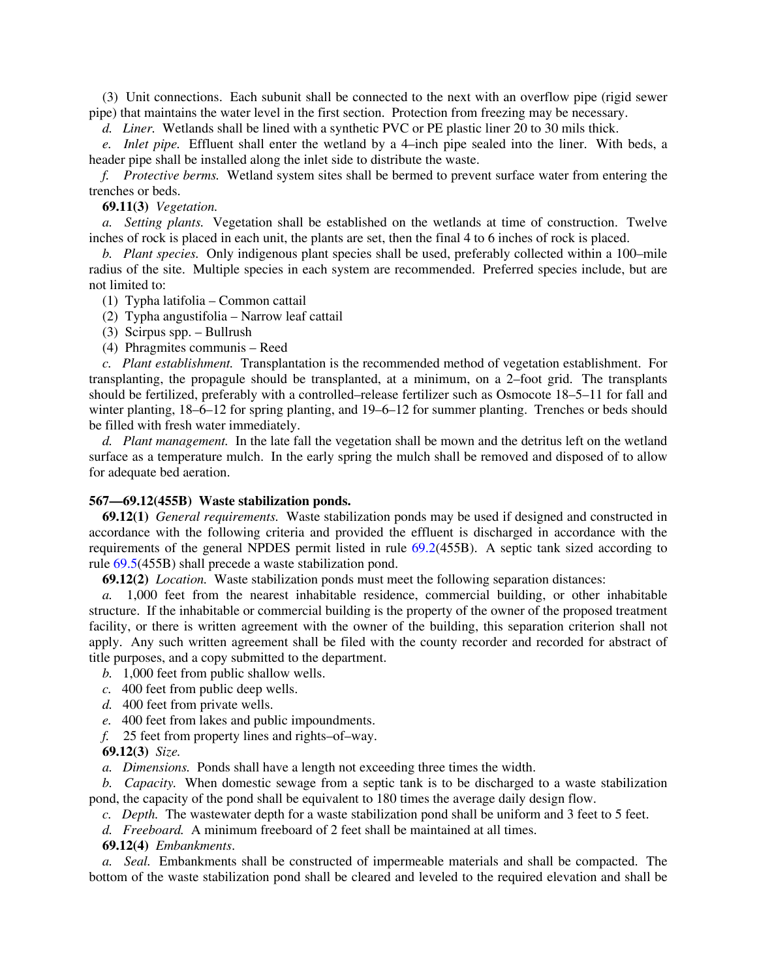(3) Unit connections. Each subunit shall be connected to the next with an overflow pipe (rigid sewer pipe) that maintains the water level in the first section. Protection from freezing may be necessary.

*d. Liner.* Wetlands shall be lined with a synthetic PVC or PE plastic liner 20 to 30 mils thick.

*e. Inlet pipe.* Effluent shall enter the wetland by a 4–inch pipe sealed into the liner. With beds, a header pipe shall be installed along the inlet side to distribute the waste.

*f. Protective berms.* Wetland system sites shall be bermed to prevent surface water from entering the trenches or beds.

### **69.11(3)** *Vegetation.*

*a. Setting plants.* Vegetation shall be established on the wetlands at time of construction. Twelve inches of rock is placed in each unit, the plants are set, then the final 4 to 6 inches of rock is placed.

*b. Plant species.* Only indigenous plant species shall be used, preferably collected within a 100–mile radius of the site. Multiple species in each system are recommended. Preferred species include, but are not limited to:

(1) Typha latifolia – Common cattail

(2) Typha angustifolia – Narrow leaf cattail

(3) Scirpus spp. – Bullrush

(4) Phragmites communis – Reed

*c. Plant establishment.* Transplantation is the recommended method of vegetation establishment. For transplanting, the propagule should be transplanted, at a minimum, on a 2–foot grid. The transplants should be fertilized, preferably with a controlled–release fertilizer such as Osmocote 18–5–11 for fall and winter planting,  $18-6-12$  for spring planting, and  $19-6-12$  for summer planting. Trenches or beds should be filled with fresh water immediately.

*d. Plant management.* In the late fall the vegetation shall be mown and the detritus left on the wetland surface as a temperature mulch. In the early spring the mulch shall be removed and disposed of to allow for adequate bed aeration.

### **567—69.12(455B) Waste stabilization ponds.**

**69.12(1)** *General requirements.*Waste stabilization ponds may be used if designed and constructed in accordance with the following criteria and provided the effluent is discharged in accordance with the requirements of the general NPDES permit listed in rule 69.2(455B). A septic tank sized according to rule 69.5(455B) shall precede a waste stabilization pond.

**69.12(2)** *Location.*Waste stabilization ponds must meet the following separation distances:

*a.* 1,000 feet from the nearest inhabitable residence, commercial building, or other inhabitable structure. If the inhabitable or commercial building is the property of the owner of the proposed treatment facility, or there is written agreement with the owner of the building, this separation criterion shall not apply. Any such written agreement shall be filed with the county recorder and recorded for abstract of title purposes, and a copy submitted to the department.

*b.* 1,000 feet from public shallow wells.

- *c.* 400 feet from public deep wells.
- *d.* 400 feet from private wells.
- *e.* 400 feet from lakes and public impoundments.
- *f.* 25 feet from property lines and rights–of–way.

**69.12(3)** *Size.*

*a. Dimensions.* Ponds shall have a length not exceeding three times the width.

*b. Capacity.* When domestic sewage from a septic tank is to be discharged to a waste stabilization pond, the capacity of the pond shall be equivalent to 180 times the average daily design flow.

*c. Depth.* The wastewater depth for a waste stabilization pond shall be uniform and 3 feet to 5 feet.

*d. Freeboard.* A minimum freeboard of 2 feet shall be maintained at all times.

**69.12(4)** *Embankments*.

*a. Seal.* Embankments shall be constructed of impermeable materials and shall be compacted. The bottom of the waste stabilization pond shall be cleared and leveled to the required elevation and shall be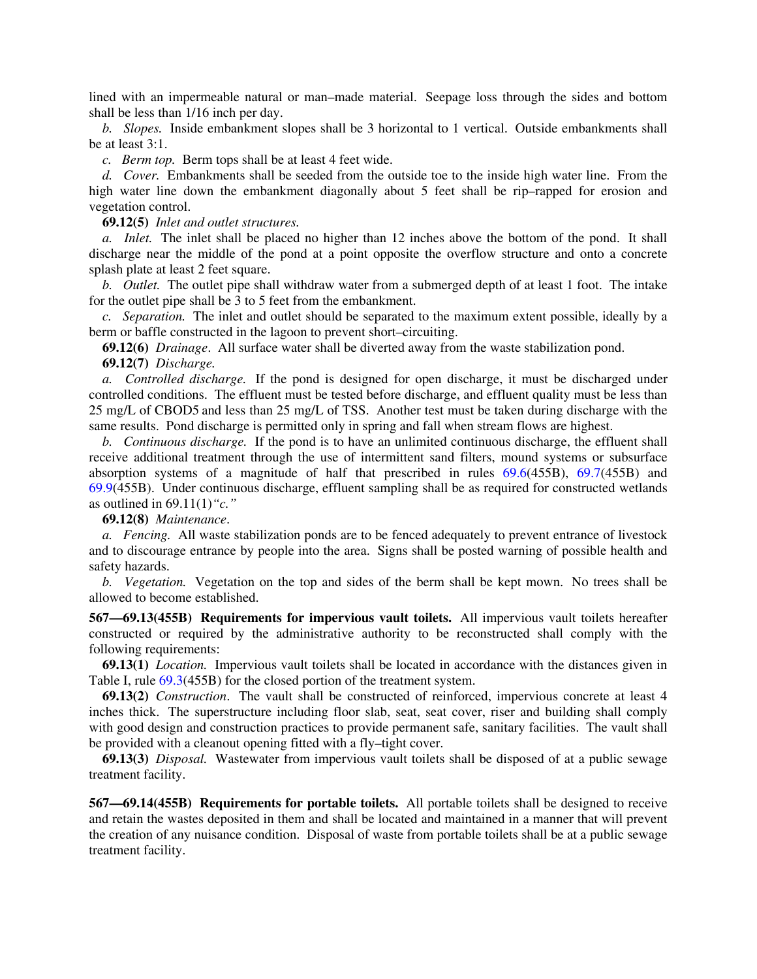lined with an impermeable natural or man–made material. Seepage loss through the sides and bottom shall be less than 1/16 inch per day.

*b. Slopes.* Inside embankment slopes shall be 3 horizontal to 1 vertical. Outside embankments shall be at least 3:1.

*c. Berm top.* Berm tops shall be at least 4 feet wide.

*d. Cover.* Embankments shall be seeded from the outside toe to the inside high water line. From the high water line down the embankment diagonally about 5 feet shall be rip–rapped for erosion and vegetation control.

**69.12(5)** *Inlet and outlet structures.*

*a. Inlet.* The inlet shall be placed no higher than 12 inches above the bottom of the pond. It shall discharge near the middle of the pond at a point opposite the overflow structure and onto a concrete splash plate at least 2 feet square.

*b. Outlet.* The outlet pipe shall withdraw water from a submerged depth of at least 1 foot. The intake for the outlet pipe shall be 3 to 5 feet from the embankment.

*c. Separation.* The inlet and outlet should be separated to the maximum extent possible, ideally by a berm or baffle constructed in the lagoon to prevent short–circuiting.

**69.12(6)** *Drainage*.All surface water shall be diverted away from the waste stabilization pond.

**69.12(7)** *Discharge.*

*a. Controlled discharge.* If the pond is designed for open discharge, it must be discharged under controlled conditions. The effluent must be tested before discharge, and effluent quality must be less than 25 mg/L of CBOD5 and less than 25 mg/L of TSS. Another test must be taken during discharge with the same results. Pond discharge is permitted only in spring and fall when stream flows are highest.

*b. Continuous discharge.* If the pond is to have an unlimited continuous discharge, the effluent shall receive additional treatment through the use of intermittent sand filters, mound systems or subsurface absorption systems of a magnitude of half that prescribed in rules 69.6(455B), 69.7(455B) and 69.9(455B). Under continuous discharge, effluent sampling shall be as required for constructed wetlands as outlined in 69.11(1)*"c."*

### **69.12(8)** *Maintenance*.

*a. Fencing.* All waste stabilization ponds are to be fenced adequately to prevent entrance of livestock and to discourage entrance by people into the area. Signs shall be posted warning of possible health and safety hazards.

*b. Vegetation.* Vegetation on the top and sides of the berm shall be kept mown. No trees shall be allowed to become established.

**567—69.13(455B) Requirements for impervious vault toilets.** All impervious vault toilets hereafter constructed or required by the administrative authority to be reconstructed shall comply with the following requirements:

**69.13(1)** *Location.*Impervious vault toilets shall be located in accordance with the distances given in Table I, rule 69.3(455B) for the closed portion of the treatment system.

**69.13(2)** *Construction*.The vault shall be constructed of reinforced, impervious concrete at least 4 inches thick. The superstructure including floor slab, seat, seat cover, riser and building shall comply with good design and construction practices to provide permanent safe, sanitary facilities. The vault shall be provided with a cleanout opening fitted with a fly–tight cover.

**69.13(3)** *Disposal.* Wastewater from impervious vault toilets shall be disposed of at a public sewage treatment facility.

**567—69.14(455B) Requirements for portable toilets.** All portable toilets shall be designed to receive and retain the wastes deposited in them and shall be located and maintained in a manner that will prevent the creation of any nuisance condition. Disposal of waste from portable toilets shall be at a public sewage treatment facility.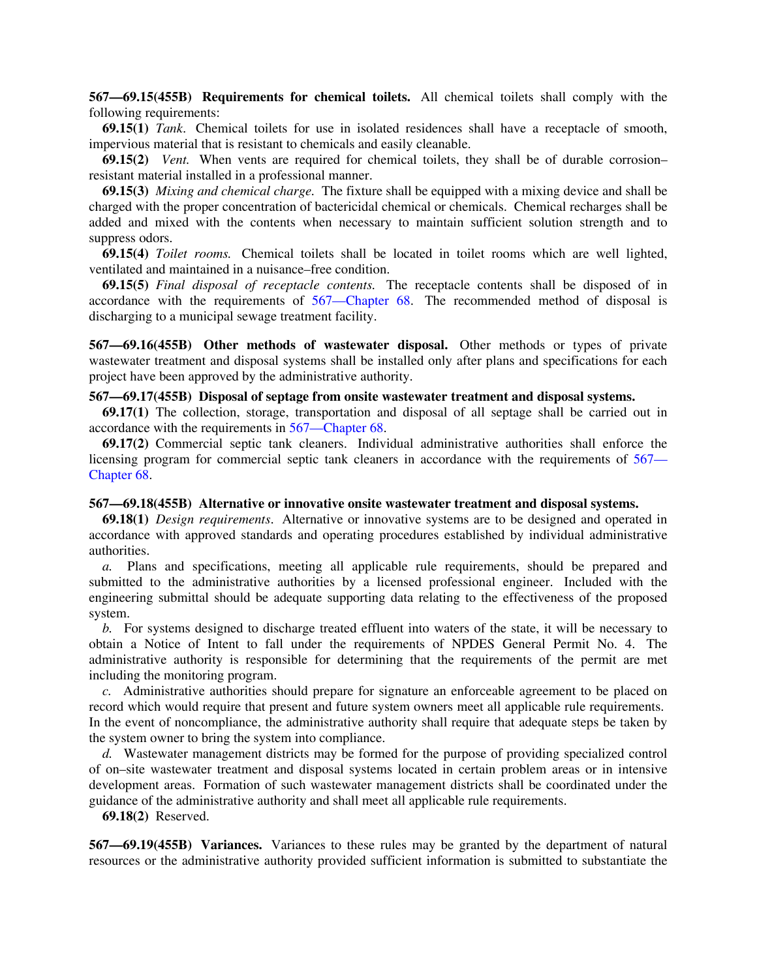**567—69.15(455B) Requirements for chemical toilets.** All chemical toilets shall comply with the following requirements:

**69.15(1)** *Tank*.Chemical toilets for use in isolated residences shall have a receptacle of smooth, impervious material that is resistant to chemicals and easily cleanable.

**69.15(2)** *Vent.*When vents are required for chemical toilets, they shall be of durable corrosion– resistant material installed in a professional manner.

**69.15(3)** *Mixing and chemical charge.*The fixture shall be equipped with a mixing device and shall be charged with the proper concentration of bactericidal chemical or chemicals. Chemical recharges shall be added and mixed with the contents when necessary to maintain sufficient solution strength and to suppress odors.

**69.15(4)** *Toilet rooms.*Chemical toilets shall be located in toilet rooms which are well lighted, ventilated and maintained in a nuisance–free condition.

**69.15(5)** *Final disposal of receptacle contents.*The receptacle contents shall be disposed of in accordance with the requirements of 567—Chapter 68. The recommended method of disposal is discharging to a municipal sewage treatment facility.

**567—69.16(455B) Other methods of wastewater disposal.** Other methods or types of private wastewater treatment and disposal systems shall be installed only after plans and specifications for each project have been approved by the administrative authority.

# **567—69.17(455B) Disposal of septage from onsite wastewater treatment and disposal systems.**

**69.17(1)** The collection, storage, transportation and disposal of all septage shall be carried out in accordance with the requirements in 567—Chapter 68.

**69.17(2)** Commercial septic tank cleaners.Individual administrative authorities shall enforce the licensing program for commercial septic tank cleaners in accordance with the requirements of 567— Chapter 68.

## **567—69.18(455B) Alternative or innovative onsite wastewater treatment and disposal systems.**

**69.18(1)** *Design requirements*.Alternative or innovative systems are to be designed and operated in accordance with approved standards and operating procedures established by individual administrative authorities.

*a.* Plans and specifications, meeting all applicable rule requirements, should be prepared and submitted to the administrative authorities by a licensed professional engineer. Included with the engineering submittal should be adequate supporting data relating to the effectiveness of the proposed system.

*b.* For systems designed to discharge treated effluent into waters of the state, it will be necessary to obtain a Notice of Intent to fall under the requirements of NPDES General Permit No. 4. The administrative authority is responsible for determining that the requirements of the permit are met including the monitoring program.

*c.* Administrative authorities should prepare for signature an enforceable agreement to be placed on record which would require that present and future system owners meet all applicable rule requirements. In the event of noncompliance, the administrative authority shall require that adequate steps be taken by the system owner to bring the system into compliance.

*d.* Wastewater management districts may be formed for the purpose of providing specialized control of on–site wastewater treatment and disposal systems located in certain problem areas or in intensive development areas. Formation of such wastewater management districts shall be coordinated under the guidance of the administrative authority and shall meet all applicable rule requirements.

**69.18(2)** Reserved.

**567—69.19(455B) Variances.** Variances to these rules may be granted by the department of natural resources or the administrative authority provided sufficient information is submitted to substantiate the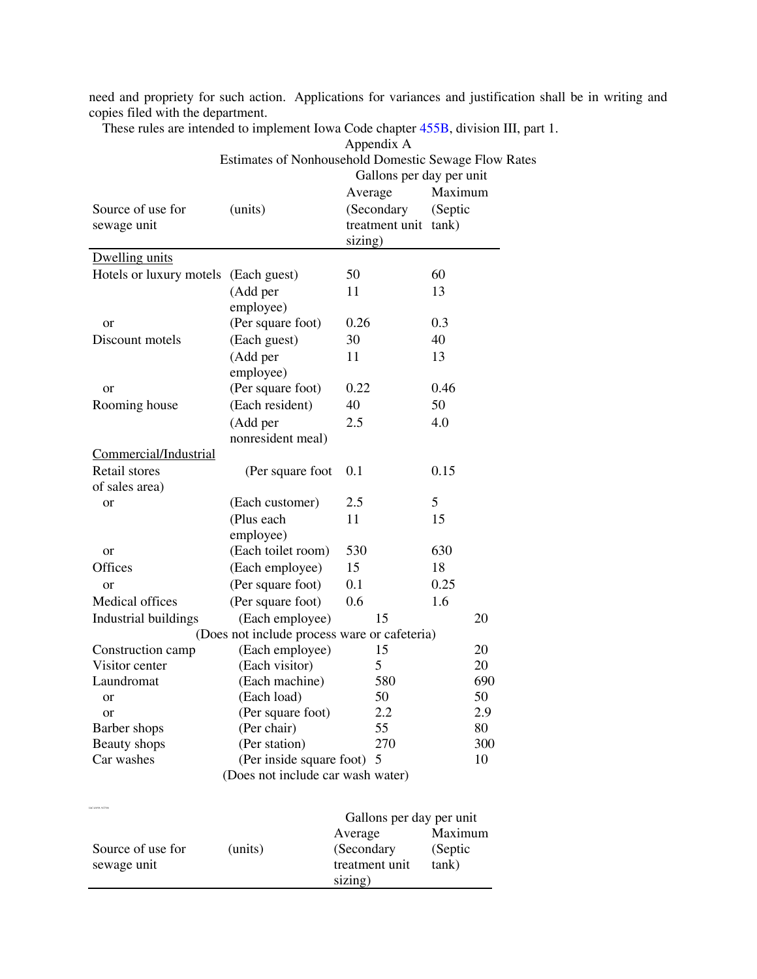need and propriety for such action. Applications for variances and justification shall be in writing and copies filed with the department.

These rules are intended to implement Iowa Code chapter 455B, division III, part 1. Appendix A

|                         | Estimates of Nonhousehold Domestic Sewage Flow F | -rr-<br>Gallons per day per unit    |         |
|-------------------------|--------------------------------------------------|-------------------------------------|---------|
|                         |                                                  | Average                             | Maximum |
| Source of use for       | (units)                                          | (Secondary                          | (Septic |
| sewage unit             |                                                  | treatment unit                      | tank)   |
|                         |                                                  | sizing)                             |         |
| Dwelling units          |                                                  |                                     |         |
|                         |                                                  | 50                                  | 60      |
| Hotels or luxury motels | (Each guest)                                     |                                     |         |
|                         | (Add per                                         | 11                                  | 13      |
|                         | employee)                                        |                                     |         |
| <sub>or</sub>           | (Per square foot)                                | 0.26                                | 0.3     |
| Discount motels         | (Each guest)                                     | 30                                  | 40      |
|                         | (Add per                                         | 11                                  | 13      |
|                         | employee)                                        |                                     |         |
| or                      | (Per square foot)                                | 0.22                                | 0.46    |
| Rooming house           | (Each resident)                                  | 40                                  | 50      |
|                         | (Add per                                         | 2.5                                 | 4.0     |
|                         | nonresident meal)                                |                                     |         |
| Commercial/Industrial   |                                                  |                                     |         |
| Retail stores           | (Per square foot                                 | 0.1                                 | 0.15    |
| of sales area)          |                                                  |                                     |         |
| or                      | (Each customer)                                  | 2.5                                 | 5       |
|                         | (Plus each                                       | 11                                  | 15      |
|                         | employee)                                        |                                     |         |
| or                      | (Each toilet room)                               | 530                                 | 630     |
| Offices                 | (Each employee)                                  | 15                                  | 18      |
| <b>or</b>               | (Per square foot)                                | 0.1                                 | 0.25    |
| Medical offices         | (Per square foot)                                | 0.6                                 | 1.6     |
| Industrial buildings    | (Each employee)                                  | 15                                  | 20      |
|                         | (Does not include process ware or cafeteria)     |                                     |         |
| Construction camp       | (Each employee)                                  | 15                                  | 20      |
| Visitor center          | (Each visitor)                                   | 5                                   | 20      |
| Laundromat              | (Each machine)                                   | 580                                 | 690     |
| or                      | (Each load)                                      | 50                                  | 50      |
| or                      | (Per square foot)                                | 2.2                                 | 2.9     |
| Barber shops            | (Per chair)                                      | 55                                  | 80      |
| Beauty shops            | (Per station)                                    | 270                                 | 300     |
| Car washes              | (Per inside square foot)                         | 5                                   | 10      |
|                         | (Does not include car wash water)                |                                     |         |
| LAC 4/8/98, 9/27/06     |                                                  |                                     |         |
|                         |                                                  | Gallons per day per unit<br>Average | Maximum |
| Source of use for       | (units)                                          | (Secondary                          | (Septic |

treatment unit

tank)

sizing)

sewage unit

Estimates of Nonhousehold Domestic Sewage Flow Rates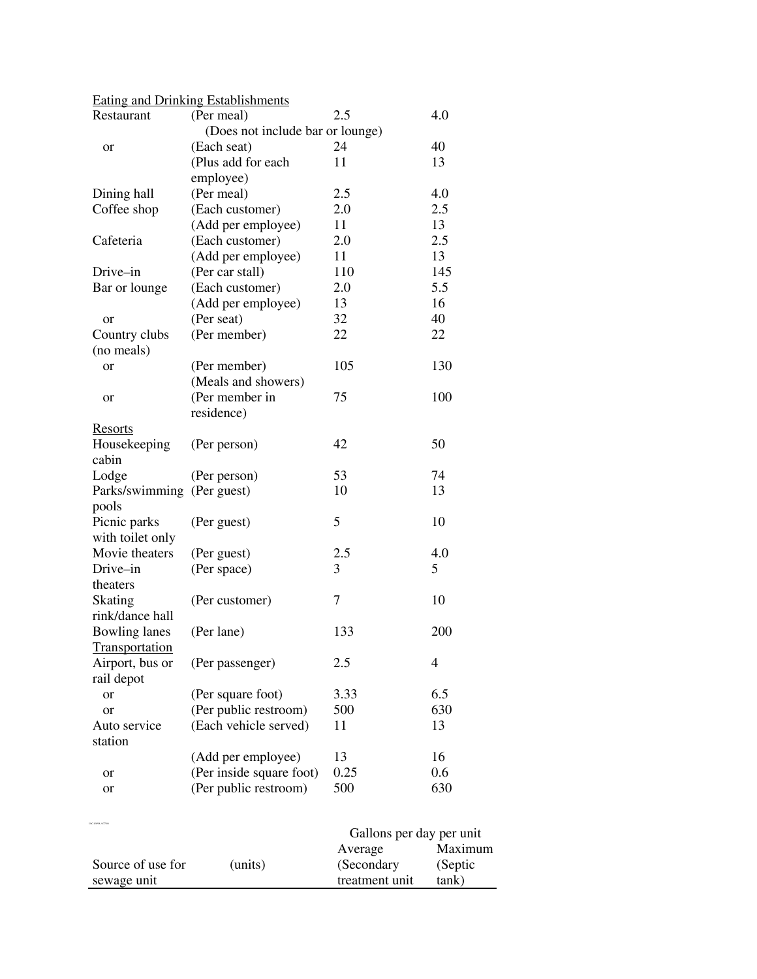|                            | <b>Eating and Drinking Establishments</b>         |                          |           |
|----------------------------|---------------------------------------------------|--------------------------|-----------|
| Restaurant                 | (Per meal)                                        | 2.5                      | 4.0       |
|                            | (Does not include bar or lounge)                  |                          |           |
| or                         | (Each seat)                                       | 24                       | 40        |
|                            | (Plus add for each                                | 11                       | 13        |
|                            | employee)                                         |                          |           |
| Dining hall                | (Per meal)                                        | 2.5                      | 4.0       |
| Coffee shop                | (Each customer)                                   | 2.0                      | 2.5       |
|                            | (Add per employee)                                | 11                       | 13        |
| Cafeteria                  | (Each customer)                                   | 2.0                      | 2.5       |
|                            | (Add per employee)                                | 11                       | 13        |
| Drive-in                   | (Per car stall)                                   | 110                      | 145       |
| Bar or lounge              | (Each customer)                                   | 2.0                      | 5.5       |
|                            | (Add per employee)                                | 13                       | 16        |
| <b>or</b>                  | (Per seat)                                        | 32                       | 40        |
| Country clubs              | (Per member)                                      | 22                       | 22        |
| (no meals)                 |                                                   |                          |           |
| or                         | (Per member)                                      | 105                      | 130       |
|                            | (Meals and showers)                               |                          |           |
| or                         | (Per member in                                    | 75                       | 100       |
|                            | residence)                                        |                          |           |
| <b>Resorts</b>             |                                                   |                          |           |
| Housekeeping               | (Per person)                                      | 42                       | 50        |
| cabin                      |                                                   |                          |           |
| Lodge                      | (Per person)                                      | 53                       | 74        |
| Parks/swimming (Per guest) |                                                   | 10                       | 13        |
| pools                      |                                                   |                          |           |
| Picnic parks               | (Per guest)                                       | 5                        | 10        |
| with toilet only           |                                                   |                          |           |
| Movie theaters             | (Per guest)                                       | 2.5                      | 4.0       |
| Drive-in                   | (Per space)                                       | 3                        | 5         |
| theaters                   |                                                   |                          |           |
| <b>Skating</b>             | (Per customer)                                    | 7                        | 10        |
| rink/dance hall            |                                                   |                          |           |
| Bowling lanes              | (Per lane)                                        | 133                      | 200       |
| Transportation             |                                                   |                          |           |
| Airport, bus or            | (Per passenger)                                   | 2.5                      | 4         |
| rail depot                 |                                                   |                          |           |
| or                         | (Per square foot)                                 | 3.33                     | 6.5       |
| or                         | (Per public restroom)                             | 500                      | 630       |
| Auto service               | (Each vehicle served)                             | 11                       | 13        |
| station                    |                                                   |                          |           |
|                            | (Add per employee)                                | 13<br>0.25               | 16<br>0.6 |
| or                         | (Per inside square foot)<br>(Per public restroom) | 500                      | 630       |
| or                         |                                                   |                          |           |
|                            |                                                   |                          |           |
|                            |                                                   | Gallons per day per unit |           |
|                            |                                                   | Average                  | Maximum   |
| Source of use for          | (units)                                           | (Secondary               | (Septic   |

treatment unit

 $tank)$ 

sewage unit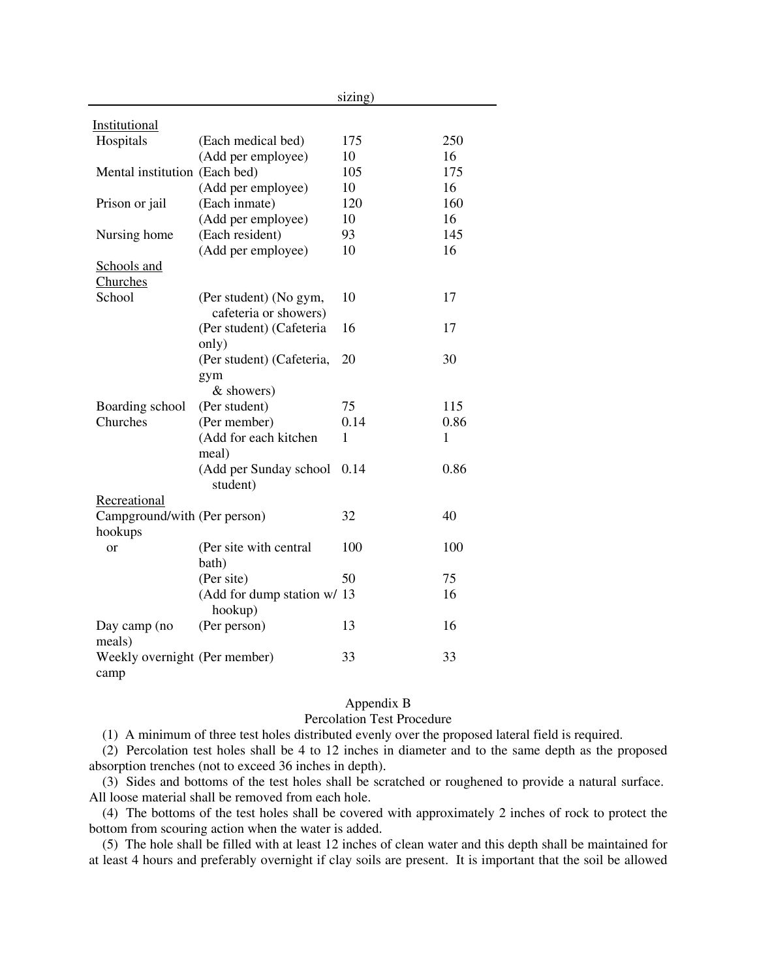|                                         |                                                 | sizing) |      |
|-----------------------------------------|-------------------------------------------------|---------|------|
| Institutional                           |                                                 |         |      |
| Hospitals                               | (Each medical bed)                              | 175     | 250  |
|                                         | (Add per employee)                              | 10      | 16   |
| Mental institution (Each bed)           |                                                 | 105     | 175  |
|                                         | (Add per employee)                              | 10      | 16   |
| Prison or jail                          | (Each inmate)                                   | 120     | 160  |
|                                         | (Add per employee)                              | 10      | 16   |
| Nursing home                            | (Each resident)                                 | 93      | 145  |
|                                         | (Add per employee)                              | 10      | 16   |
| Schools and<br>Churches                 |                                                 |         |      |
| School                                  | (Per student) (No gym,<br>cafeteria or showers) | 10      | 17   |
|                                         | (Per student) (Cafeteria<br>only)               | 16      | 17   |
|                                         | (Per student) (Cafeteria,<br>gym<br>& showers)  | 20      | 30   |
| Boarding school                         | (Per student)                                   | 75      | 115  |
| Churches                                | (Per member)                                    | 0.14    | 0.86 |
|                                         | (Add for each kitchen<br>meal)                  | 1       | 1    |
|                                         | (Add per Sunday school<br>student)              | 0.14    | 0.86 |
| Recreational                            |                                                 |         |      |
| Campground/with (Per person)<br>hookups |                                                 | 32      | 40   |
| or                                      | (Per site with central<br>bath)                 | 100     | 100  |
|                                         | (Per site)                                      | 50      | 75   |
|                                         | (Add for dump station w/ 13<br>hookup)          |         | 16   |
| Day camp (no<br>meals)                  | (Per person)                                    | 13      | 16   |
| Weekly overnight (Per member)<br>camp   |                                                 | 33      | 33   |

# Appendix B Percolation Test Procedure

(1) A minimum of three test holes distributed evenly over the proposed lateral field is required.

(2) Percolation test holes shall be 4 to 12 inches in diameter and to the same depth as the proposed absorption trenches (not to exceed 36 inches in depth).

(3) Sides and bottoms of the test holes shall be scratched or roughened to provide a natural surface. All loose material shall be removed from each hole.

(4) The bottoms of the test holes shall be covered with approximately 2 inches of rock to protect the bottom from scouring action when the water is added.

(5) The hole shall be filled with at least 12 inches of clean water and this depth shall be maintained for at least 4 hours and preferably overnight if clay soils are present. It is important that the soil be allowed